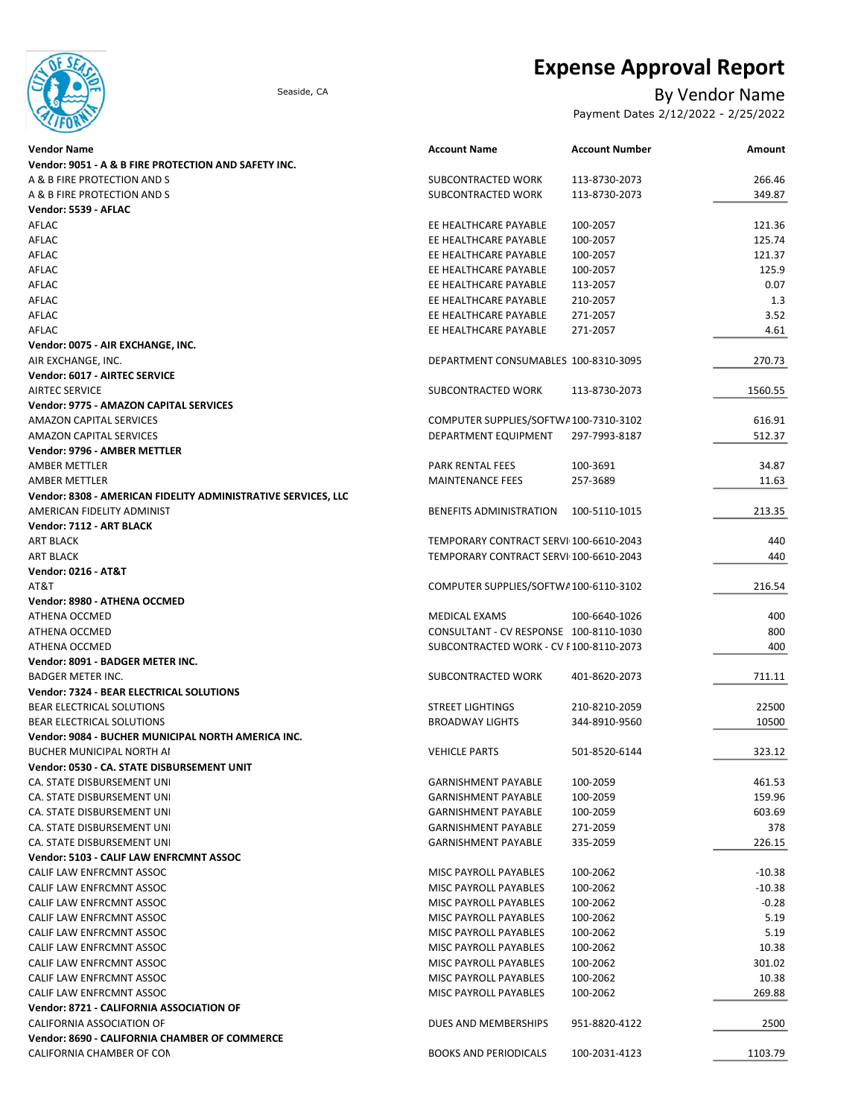

# Expense Approval Report

## Seaside, CA By Vendor Name

Payment Dates 2/12/2022 - 2/25/2022

| Vendor Name                                                   | <b>Account Name</b>                    | <b>Account Number</b> | Amount   |
|---------------------------------------------------------------|----------------------------------------|-----------------------|----------|
| Vendor: 9051 - A & B FIRE PROTECTION AND SAFETY INC.          |                                        |                       |          |
| A & B FIRE PROTECTION AND S                                   | SUBCONTRACTED WORK                     | 113-8730-2073         | 266.46   |
| A & B FIRE PROTECTION AND S                                   | SUBCONTRACTED WORK                     | 113-8730-2073         | 349.87   |
| Vendor: 5539 - AFLAC                                          |                                        |                       |          |
| AFLAC                                                         | EE HEALTHCARE PAYABLE                  | 100-2057              | 121.36   |
| AFLAC                                                         | EE HEALTHCARE PAYABLE                  | 100-2057              | 125.74   |
| AFLAC                                                         | EE HEALTHCARE PAYABLE                  | 100-2057              | 121.37   |
| AFLAC                                                         | EE HEALTHCARE PAYABLE                  | 100-2057              | 125.9    |
| AFLAC                                                         | EE HEALTHCARE PAYABLE                  | 113-2057              | 0.07     |
| AFLAC                                                         | EE HEALTHCARE PAYABLE                  | 210-2057              | 1.3      |
| AFLAC                                                         | EE HEALTHCARE PAYABLE                  | 271-2057              | 3.52     |
| AFLAC                                                         | EE HEALTHCARE PAYABLE                  | 271-2057              | 4.61     |
| Vendor: 0075 - AIR EXCHANGE, INC.                             |                                        |                       |          |
|                                                               | DEPARTMENT CONSUMABLES 100-8310-3095   |                       | 270.73   |
| AIR EXCHANGE, INC.                                            |                                        |                       |          |
| Vendor: 6017 - AIRTEC SERVICE                                 |                                        |                       |          |
| <b>AIRTEC SERVICE</b>                                         | SUBCONTRACTED WORK                     | 113-8730-2073         | 1560.55  |
| Vendor: 9775 - AMAZON CAPITAL SERVICES                        |                                        |                       |          |
| <b>AMAZON CAPITAL SERVICES</b>                                | COMPUTER SUPPLIES/SOFTWA100-7310-3102  |                       | 616.91   |
| AMAZON CAPITAL SERVICES                                       | DEPARTMENT EQUIPMENT                   | 297-7993-8187         | 512.37   |
| <b>Vendor: 9796 - AMBER METTLER</b>                           |                                        |                       |          |
| <b>AMBER METTLER</b>                                          | PARK RENTAL FEES                       | 100-3691              | 34.87    |
| AMBER METTLER                                                 | <b>MAINTENANCE FEES</b>                | 257-3689              | 11.63    |
| Vendor: 8308 - AMERICAN FIDELITY ADMINISTRATIVE SERVICES, LLC |                                        |                       |          |
| AMERICAN FIDELITY ADMINIST                                    | <b>BENEFITS ADMINISTRATION</b>         | 100-5110-1015         | 213.35   |
| Vendor: 7112 - ART BLACK                                      |                                        |                       |          |
| <b>ART BLACK</b>                                              | TEMPORARY CONTRACT SERVI 100-6610-2043 |                       | 440      |
| ART BLACK                                                     | TEMPORARY CONTRACT SERVI 100-6610-2043 |                       | 440      |
| Vendor: 0216 - AT&T                                           |                                        |                       |          |
| AT&T                                                          | COMPUTER SUPPLIES/SOFTWA100-6110-3102  |                       | 216.54   |
| Vendor: 8980 - ATHENA OCCMED                                  |                                        |                       |          |
| ATHENA OCCMED                                                 | MEDICAL EXAMS                          | 100-6640-1026         | 400      |
| ATHENA OCCMED                                                 | CONSULTANT - CV RESPONSE 100-8110-1030 |                       | 800      |
| ATHENA OCCMED                                                 | SUBCONTRACTED WORK - CV F100-8110-2073 |                       | 400      |
| Vendor: 8091 - BADGER METER INC.                              |                                        |                       |          |
| <b>BADGER METER INC.</b>                                      | SUBCONTRACTED WORK                     | 401-8620-2073         | 711.11   |
| <b>Vendor: 7324 - BEAR ELECTRICAL SOLUTIONS</b>               |                                        |                       |          |
| BEAR ELECTRICAL SOLUTIONS                                     | <b>STREET LIGHTINGS</b>                | 210-8210-2059         | 22500    |
| BEAR ELECTRICAL SOLUTIONS                                     | <b>BROADWAY LIGHTS</b>                 | 344-8910-9560         | 10500    |
| Vendor: 9084 - BUCHER MUNICIPAL NORTH AMERICA INC.            |                                        |                       |          |
| BUCHER MUNICIPAL NORTH AI                                     | <b>VEHICLE PARTS</b>                   | 501-8520-6144         | 323.12   |
|                                                               |                                        |                       |          |
| Vendor: 0530 - CA. STATE DISBURSEMENT UNIT                    |                                        |                       |          |
| CA. STATE DISBURSEMENT UNI                                    | <b>GARNISHMENT PAYABLE</b>             | 100-2059              | 461.53   |
| CA. STATE DISBURSEMENT UNI                                    | <b>GARNISHMENT PAYABLE</b>             | 100-2059              | 159.96   |
| CA. STATE DISBURSEMENT UNI                                    | <b>GARNISHMENT PAYABLE</b>             | 100-2059              | 603.69   |
| CA. STATE DISBURSEMENT UNI                                    | <b>GARNISHMENT PAYABLE</b>             | 271-2059              | 378      |
| CA. STATE DISBURSEMENT UNI                                    | <b>GARNISHMENT PAYABLE</b>             | 335-2059              | 226.15   |
| Vendor: 5103 - CALIF LAW ENFRCMNT ASSOC                       |                                        |                       |          |
| CALIF LAW ENFRCMNT ASSOC                                      | MISC PAYROLL PAYABLES                  | 100-2062              | $-10.38$ |
| CALIF LAW ENFRCMNT ASSOC                                      | MISC PAYROLL PAYABLES                  | 100-2062              | $-10.38$ |
| CALIF LAW ENFRCMNT ASSOC                                      | <b>MISC PAYROLL PAYABLES</b>           | 100-2062              | $-0.28$  |
| CALIF LAW ENFRCMNT ASSOC                                      | MISC PAYROLL PAYABLES                  | 100-2062              | 5.19     |
| CALIF LAW ENFRCMNT ASSOC                                      | MISC PAYROLL PAYABLES                  | 100-2062              | 5.19     |
| CALIF LAW ENFRCMNT ASSOC                                      | MISC PAYROLL PAYABLES                  | 100-2062              | 10.38    |
| CALIF LAW ENFRCMNT ASSOC                                      | MISC PAYROLL PAYABLES                  | 100-2062              | 301.02   |
| CALIF LAW ENFRCMNT ASSOC                                      | MISC PAYROLL PAYABLES                  | 100-2062              | 10.38    |
| CALIF LAW ENFRCMNT ASSOC                                      | MISC PAYROLL PAYABLES                  | 100-2062              | 269.88   |
| Vendor: 8721 - CALIFORNIA ASSOCIATION OF                      |                                        |                       |          |
| CALIFORNIA ASSOCIATION OF                                     | DUES AND MEMBERSHIPS                   | 951-8820-4122         | 2500     |
| Vendor: 8690 - CALIFORNIA CHAMBER OF COMMERCE                 |                                        |                       |          |
| CALIFORNIA CHAMBER OF CON                                     | <b>BOOKS AND PERIODICALS</b>           | 100-2031-4123         | 1103.79  |
|                                                               |                                        |                       |          |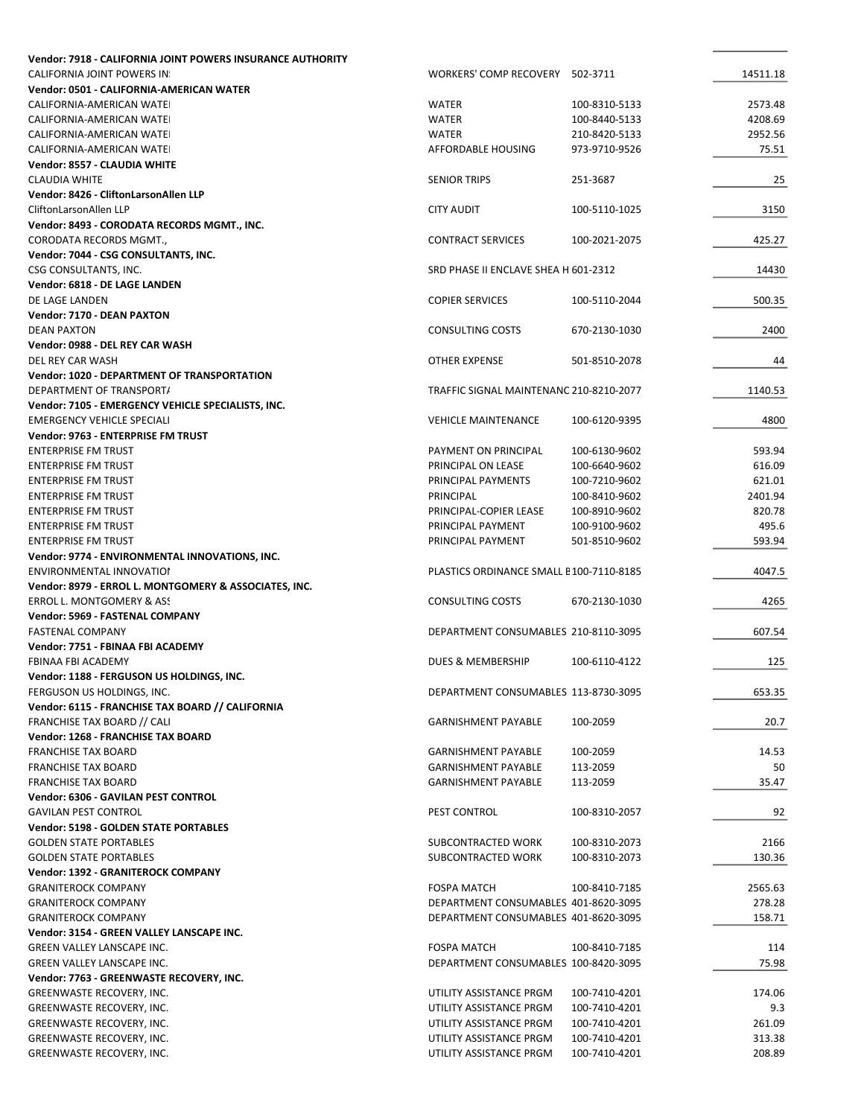| Vendor: 7918 - CALIFORNIA JOINT POWERS INSURANCE AUTHORITY |                                         |               |          |
|------------------------------------------------------------|-----------------------------------------|---------------|----------|
| <b>CALIFORNIA JOINT POWERS IN:</b>                         | WORKERS' COMP RECOVERY 502-3711         |               | 14511.18 |
| Vendor: 0501 - CALIFORNIA-AMERICAN WATER                   |                                         |               |          |
| CALIFORNIA-AMERICAN WATEI                                  | <b>WATER</b>                            | 100-8310-5133 | 2573.48  |
| CALIFORNIA-AMERICAN WATEI                                  | <b>WATER</b>                            | 100-8440-5133 | 4208.69  |
| CALIFORNIA-AMERICAN WATEI                                  | <b>WATER</b>                            | 210-8420-5133 | 2952.56  |
| CALIFORNIA-AMERICAN WATEI                                  | <b>AFFORDABLE HOUSING</b>               | 973-9710-9526 | 75.51    |
| Vendor: 8557 - CLAUDIA WHITE                               |                                         |               |          |
| <b>CLAUDIA WHITE</b>                                       | <b>SENIOR TRIPS</b>                     | 251-3687      | 25       |
| Vendor: 8426 - CliftonLarsonAllen LLP                      |                                         |               |          |
| CliftonLarsonAllen LLP                                     | <b>CITY AUDIT</b>                       | 100-5110-1025 | 3150     |
| Vendor: 8493 - CORODATA RECORDS MGMT., INC.                |                                         |               |          |
| CORODATA RECORDS MGMT.,                                    | <b>CONTRACT SERVICES</b>                | 100-2021-2075 | 425.27   |
| Vendor: 7044 - CSG CONSULTANTS, INC.                       |                                         |               |          |
| CSG CONSULTANTS, INC.                                      | SRD PHASE II ENCLAVE SHEA H 601-2312    |               | 14430    |
| Vendor: 6818 - DE LAGE LANDEN                              |                                         |               |          |
| DE LAGE LANDEN                                             | <b>COPIER SERVICES</b>                  | 100-5110-2044 | 500.35   |
| Vendor: 7170 - DEAN PAXTON                                 |                                         |               |          |
| <b>DEAN PAXTON</b>                                         | <b>CONSULTING COSTS</b>                 | 670-2130-1030 | 2400     |
| Vendor: 0988 - DEL REY CAR WASH                            |                                         |               |          |
| DEL REY CAR WASH                                           | <b>OTHER EXPENSE</b>                    | 501-8510-2078 | 44       |
| <b>Vendor: 1020 - DEPARTMENT OF TRANSPORTATION</b>         |                                         |               |          |
| DEPARTMENT OF TRANSPORT/                                   | TRAFFIC SIGNAL MAINTENANC 210-8210-2077 |               | 1140.53  |
| Vendor: 7105 - EMERGENCY VEHICLE SPECIALISTS, INC.         |                                         |               |          |
| <b>EMERGENCY VEHICLE SPECIALI</b>                          | <b>VEHICLE MAINTENANCE</b>              | 100-6120-9395 | 4800     |
| Vendor: 9763 - ENTERPRISE FM TRUST                         |                                         |               |          |
| <b>ENTERPRISE FM TRUST</b>                                 | PAYMENT ON PRINCIPAL                    | 100-6130-9602 | 593.94   |
| <b>ENTERPRISE FM TRUST</b>                                 | PRINCIPAL ON LEASE                      | 100-6640-9602 | 616.09   |
| <b>ENTERPRISE FM TRUST</b>                                 | PRINCIPAL PAYMENTS                      | 100-7210-9602 | 621.01   |
| <b>ENTERPRISE FM TRUST</b>                                 | PRINCIPAL                               | 100-8410-9602 | 2401.94  |
|                                                            |                                         |               | 820.78   |
| <b>ENTERPRISE FM TRUST</b>                                 | PRINCIPAL-COPIER LEASE                  | 100-8910-9602 |          |
| <b>ENTERPRISE FM TRUST</b>                                 | PRINCIPAL PAYMENT                       | 100-9100-9602 | 495.6    |
| <b>ENTERPRISE FM TRUST</b>                                 | PRINCIPAL PAYMENT                       | 501-8510-9602 | 593.94   |
| Vendor: 9774 - ENVIRONMENTAL INNOVATIONS, INC.             |                                         |               |          |
| ENVIRONMENTAL INNOVATION                                   | PLASTICS ORDINANCE SMALL E100-7110-8185 |               | 4047.5   |
| Vendor: 8979 - ERROL L. MONTGOMERY & ASSOCIATES, INC.      |                                         |               |          |
| ERROL L. MONTGOMERY & ASS                                  | <b>CONSULTING COSTS</b>                 | 670-2130-1030 | 4265     |
| Vendor: 5969 - FASTENAL COMPANY                            |                                         |               |          |
| <b>FASTENAL COMPANY</b>                                    | DEPARTMENT CONSUMABLES 210-8110-3095    |               | 607.54   |
| Vendor: 7751 - FBINAA FBI ACADEMY                          |                                         |               |          |
| <b>FBINAA FBI ACADEMY</b>                                  | DUES & MEMBERSHIP                       | 100-6110-4122 | 125      |
| Vendor: 1188 - FERGUSON US HOLDINGS, INC.                  |                                         |               |          |
| FERGUSON US HOLDINGS, INC.                                 | DEPARTMENT CONSUMABLES 113-8730-3095    |               | 653.35   |
| Vendor: 6115 - FRANCHISE TAX BOARD // CALIFORNIA           |                                         |               |          |
| FRANCHISE TAX BOARD // CALI                                | <b>GARNISHMENT PAYABLE</b>              | 100-2059      | 20.7     |
| Vendor: 1268 - FRANCHISE TAX BOARD                         |                                         |               |          |
| <b>FRANCHISE TAX BOARD</b>                                 | <b>GARNISHMENT PAYABLE</b>              | 100-2059      | 14.53    |
| <b>FRANCHISE TAX BOARD</b>                                 | <b>GARNISHMENT PAYABLE</b>              | 113-2059      | 50       |
| <b>FRANCHISE TAX BOARD</b>                                 | <b>GARNISHMENT PAYABLE</b>              | 113-2059      | 35.47    |
| Vendor: 6306 - GAVILAN PEST CONTROL                        |                                         |               |          |
| <b>GAVILAN PEST CONTROL</b>                                | PEST CONTROL                            | 100-8310-2057 | 92       |
| <b>Vendor: 5198 - GOLDEN STATE PORTABLES</b>               |                                         |               |          |
| <b>GOLDEN STATE PORTABLES</b>                              | SUBCONTRACTED WORK                      | 100-8310-2073 | 2166     |
| <b>GOLDEN STATE PORTABLES</b>                              | SUBCONTRACTED WORK                      | 100-8310-2073 | 130.36   |
| Vendor: 1392 - GRANITEROCK COMPANY                         |                                         |               |          |
|                                                            |                                         |               |          |
| <b>GRANITEROCK COMPANY</b>                                 | <b>FOSPA MATCH</b>                      | 100-8410-7185 | 2565.63  |
| <b>GRANITEROCK COMPANY</b>                                 | DEPARTMENT CONSUMABLES 401-8620-3095    |               | 278.28   |
| <b>GRANITEROCK COMPANY</b>                                 | DEPARTMENT CONSUMABLES 401-8620-3095    |               | 158.71   |
| Vendor: 3154 - GREEN VALLEY LANSCAPE INC.                  |                                         |               |          |
| <b>GREEN VALLEY LANSCAPE INC.</b>                          | <b>FOSPA MATCH</b>                      | 100-8410-7185 | 114      |
| GREEN VALLEY LANSCAPE INC.                                 | DEPARTMENT CONSUMABLES 100-8420-3095    |               | 75.98    |
| Vendor: 7763 - GREENWASTE RECOVERY, INC.                   |                                         |               |          |
| GREENWASTE RECOVERY, INC.                                  | UTILITY ASSISTANCE PRGM                 | 100-7410-4201 | 174.06   |
| GREENWASTE RECOVERY, INC.                                  | UTILITY ASSISTANCE PRGM                 | 100-7410-4201 | 9.3      |
| GREENWASTE RECOVERY, INC.                                  | UTILITY ASSISTANCE PRGM                 | 100-7410-4201 | 261.09   |
| GREENWASTE RECOVERY, INC.                                  | UTILITY ASSISTANCE PRGM                 | 100-7410-4201 | 313.38   |
| GREENWASTE RECOVERY, INC.                                  | UTILITY ASSISTANCE PRGM                 | 100-7410-4201 | 208.89   |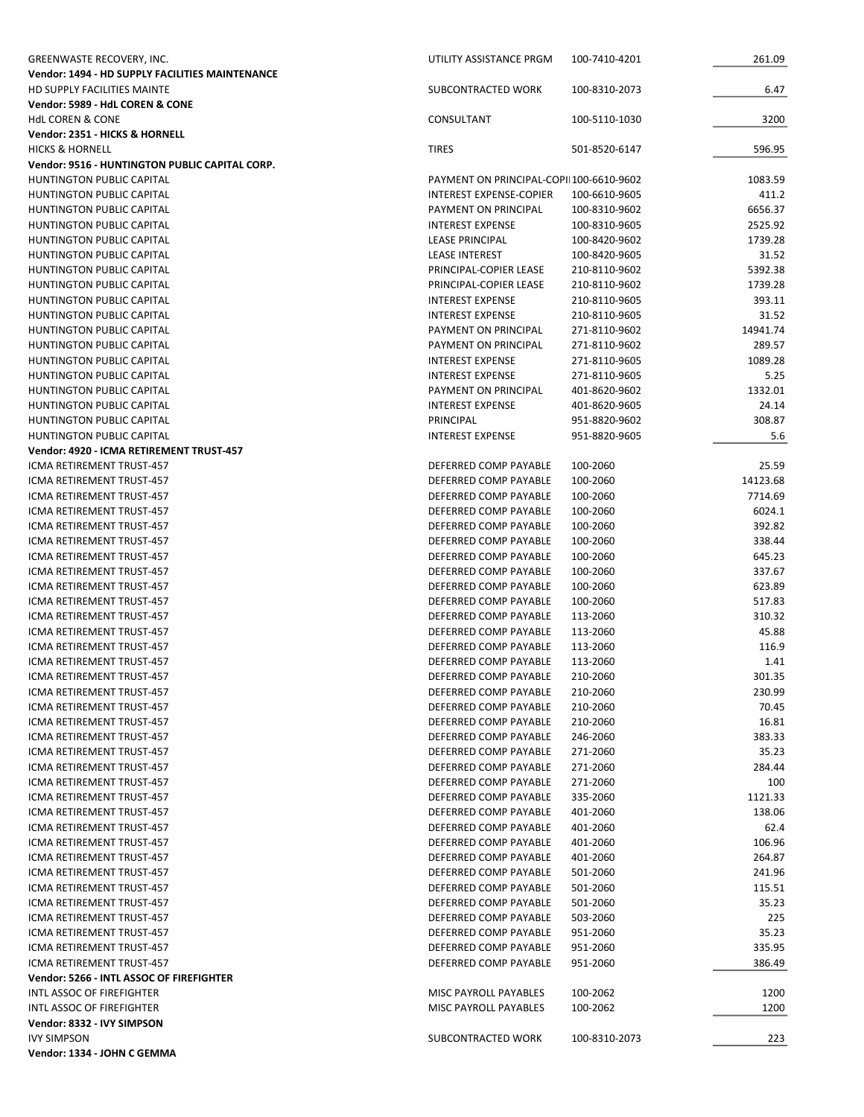| <b>GREENWASTE RECOVERY, INC.</b>                                     | UTILITY ASSISTANCE PRGM                           | 100-7410-4201                  | 261.09          |
|----------------------------------------------------------------------|---------------------------------------------------|--------------------------------|-----------------|
| Vendor: 1494 - HD SUPPLY FACILITIES MAINTENANCE                      |                                                   |                                |                 |
| HD SUPPLY FACILITIES MAINTE                                          | SUBCONTRACTED WORK                                | 100-8310-2073                  | 6.47            |
| Vendor: 5989 - HdL COREN & CONE                                      |                                                   |                                |                 |
| <b>HdL COREN &amp; CONE</b>                                          | CONSULTANT                                        | 100-5110-1030                  | 3200            |
| Vendor: 2351 - HICKS & HORNELL                                       |                                                   |                                |                 |
| <b>HICKS &amp; HORNELL</b>                                           | <b>TIRES</b>                                      | 501-8520-6147                  | 596.95          |
| Vendor: 9516 - HUNTINGTON PUBLIC CAPITAL CORP.                       |                                                   |                                |                 |
| <b>HUNTINGTON PUBLIC CAPITAL</b>                                     | PAYMENT ON PRINCIPAL-COPII100-6610-9602           |                                | 1083.59         |
| <b>HUNTINGTON PUBLIC CAPITAL</b>                                     | INTEREST EXPENSE-COPIER                           | 100-6610-9605                  | 411.2           |
| <b>HUNTINGTON PUBLIC CAPITAL</b>                                     | PAYMENT ON PRINCIPAL                              | 100-8310-9602                  | 6656.37         |
| <b>HUNTINGTON PUBLIC CAPITAL</b>                                     | <b>INTEREST EXPENSE</b>                           | 100-8310-9605                  | 2525.92         |
| <b>HUNTINGTON PUBLIC CAPITAL</b>                                     | LEASE PRINCIPAL                                   | 100-8420-9602                  | 1739.28         |
| <b>HUNTINGTON PUBLIC CAPITAL</b>                                     | <b>LEASE INTEREST</b>                             | 100-8420-9605                  | 31.52           |
| <b>HUNTINGTON PUBLIC CAPITAL</b>                                     | PRINCIPAL-COPIER LEASE                            | 210-8110-9602                  | 5392.38         |
| <b>HUNTINGTON PUBLIC CAPITAL</b>                                     | PRINCIPAL-COPIER LEASE<br><b>INTEREST EXPENSE</b> | 210-8110-9602                  | 1739.28         |
| <b>HUNTINGTON PUBLIC CAPITAL</b><br><b>HUNTINGTON PUBLIC CAPITAL</b> | <b>INTEREST EXPENSE</b>                           | 210-8110-9605<br>210-8110-9605 | 393.11<br>31.52 |
| <b>HUNTINGTON PUBLIC CAPITAL</b>                                     | PAYMENT ON PRINCIPAL                              | 271-8110-9602                  | 14941.74        |
| HUNTINGTON PUBLIC CAPITAL                                            | PAYMENT ON PRINCIPAL                              | 271-8110-9602                  | 289.57          |
| <b>HUNTINGTON PUBLIC CAPITAL</b>                                     | <b>INTEREST EXPENSE</b>                           | 271-8110-9605                  | 1089.28         |
| <b>HUNTINGTON PUBLIC CAPITAL</b>                                     | <b>INTEREST EXPENSE</b>                           | 271-8110-9605                  | 5.25            |
| <b>HUNTINGTON PUBLIC CAPITAL</b>                                     | PAYMENT ON PRINCIPAL                              | 401-8620-9602                  | 1332.01         |
| <b>HUNTINGTON PUBLIC CAPITAL</b>                                     | <b>INTEREST EXPENSE</b>                           | 401-8620-9605                  | 24.14           |
| <b>HUNTINGTON PUBLIC CAPITAL</b>                                     | PRINCIPAL                                         | 951-8820-9602                  | 308.87          |
| <b>HUNTINGTON PUBLIC CAPITAL</b>                                     | <b>INTEREST EXPENSE</b>                           | 951-8820-9605                  | 5.6             |
| Vendor: 4920 - ICMA RETIREMENT TRUST-457                             |                                                   |                                |                 |
| ICMA RETIREMENT TRUST-457                                            | DEFERRED COMP PAYABLE                             | 100-2060                       | 25.59           |
| ICMA RETIREMENT TRUST-457                                            | DEFERRED COMP PAYABLE                             | 100-2060                       | 14123.68        |
| ICMA RETIREMENT TRUST-457                                            | DEFERRED COMP PAYABLE                             | 100-2060                       | 7714.69         |
| ICMA RETIREMENT TRUST-457                                            | DEFERRED COMP PAYABLE                             | 100-2060                       | 6024.1          |
| ICMA RETIREMENT TRUST-457                                            | DEFERRED COMP PAYABLE                             | 100-2060                       | 392.82          |
| ICMA RETIREMENT TRUST-457                                            | DEFERRED COMP PAYABLE                             | 100-2060                       | 338.44          |
| ICMA RETIREMENT TRUST-457                                            | DEFERRED COMP PAYABLE                             | 100-2060                       | 645.23          |
| ICMA RETIREMENT TRUST-457                                            | DEFERRED COMP PAYABLE                             | 100-2060                       | 337.67          |
| ICMA RETIREMENT TRUST-457                                            | DEFERRED COMP PAYABLE                             | 100-2060                       | 623.89          |
| <b>ICMA RETIREMENT TRUST-457</b>                                     | DEFERRED COMP PAYABLE                             | 100-2060                       | 517.83          |
| ICMA RETIREMENT TRUST-457                                            | DEFERRED COMP PAYABLE                             | 113-2060                       | 310.32          |
| ICMA RETIREMENT TRUST-457                                            | DEFERRED COMP PAYABLE                             | 113-2060                       | 45.88           |
| ICMA RETIREMENT TRUST-457                                            | DEFERRED COMP PAYABLE                             | 113-2060                       | 116.9           |
| ICMA RETIREMENT TRUST-457                                            | DEFERRED COMP PAYABLE                             | 113-2060                       | 1.41            |
| ICMA RETIREMENT TRUST-457                                            | DEFERRED COMP PAYABLE                             | 210-2060                       | 301.35          |
| ICMA RETIREMENT TRUST-457                                            | DEFERRED COMP PAYABLE                             | 210-2060                       | 230.99          |
| ICMA RETIREMENT TRUST-457                                            | DEFERRED COMP PAYABLE                             | 210-2060                       | 70.45           |
| ICMA RETIREMENT TRUST-457                                            | DEFERRED COMP PAYABLE                             | 210-2060                       | 16.81           |
| ICMA RETIREMENT TRUST-457                                            | DEFERRED COMP PAYABLE                             | 246-2060                       | 383.33          |
| ICMA RETIREMENT TRUST-457                                            | DEFERRED COMP PAYABLE                             | 271-2060                       | 35.23           |
| ICMA RETIREMENT TRUST-457                                            | DEFERRED COMP PAYABLE                             | 271-2060                       | 284.44          |
| ICMA RETIREMENT TRUST-457                                            | DEFERRED COMP PAYABLE                             | 271-2060                       | 100             |
| ICMA RETIREMENT TRUST-457                                            | DEFERRED COMP PAYABLE                             | 335-2060                       | 1121.33         |
| <b>ICMA RETIREMENT TRUST-457</b>                                     | DEFERRED COMP PAYABLE                             | 401-2060                       | 138.06          |
| ICMA RETIREMENT TRUST-457                                            | DEFERRED COMP PAYABLE                             | 401-2060                       | 62.4            |
| ICMA RETIREMENT TRUST-457                                            | DEFERRED COMP PAYABLE                             | 401-2060                       | 106.96          |
| ICMA RETIREMENT TRUST-457                                            | DEFERRED COMP PAYABLE                             | 401-2060                       | 264.87          |
| ICMA RETIREMENT TRUST-457                                            | DEFERRED COMP PAYABLE                             | 501-2060                       | 241.96          |
| ICMA RETIREMENT TRUST-457                                            | DEFERRED COMP PAYABLE<br>DEFERRED COMP PAYABLE    | 501-2060                       | 115.51          |
| ICMA RETIREMENT TRUST-457<br>ICMA RETIREMENT TRUST-457               | DEFERRED COMP PAYABLE                             | 501-2060<br>503-2060           | 35.23<br>225    |
| ICMA RETIREMENT TRUST-457                                            | DEFERRED COMP PAYABLE                             | 951-2060                       | 35.23           |
| ICMA RETIREMENT TRUST-457                                            | DEFERRED COMP PAYABLE                             | 951-2060                       | 335.95          |
| ICMA RETIREMENT TRUST-457                                            | DEFERRED COMP PAYABLE                             | 951-2060                       | 386.49          |
| Vendor: 5266 - INTL ASSOC OF FIREFIGHTER                             |                                                   |                                |                 |
| INTL ASSOC OF FIREFIGHTER                                            | MISC PAYROLL PAYABLES                             | 100-2062                       | 1200            |
| INTL ASSOC OF FIREFIGHTER                                            | MISC PAYROLL PAYABLES                             | 100-2062                       | 1200            |
| Vendor: 8332 - IVY SIMPSON                                           |                                                   |                                |                 |
| <b>IVY SIMPSON</b>                                                   | SUBCONTRACTED WORK                                | 100-8310-2073                  | 223             |
| Vendor: 1334 - JOHN C GEMMA                                          |                                                   |                                |                 |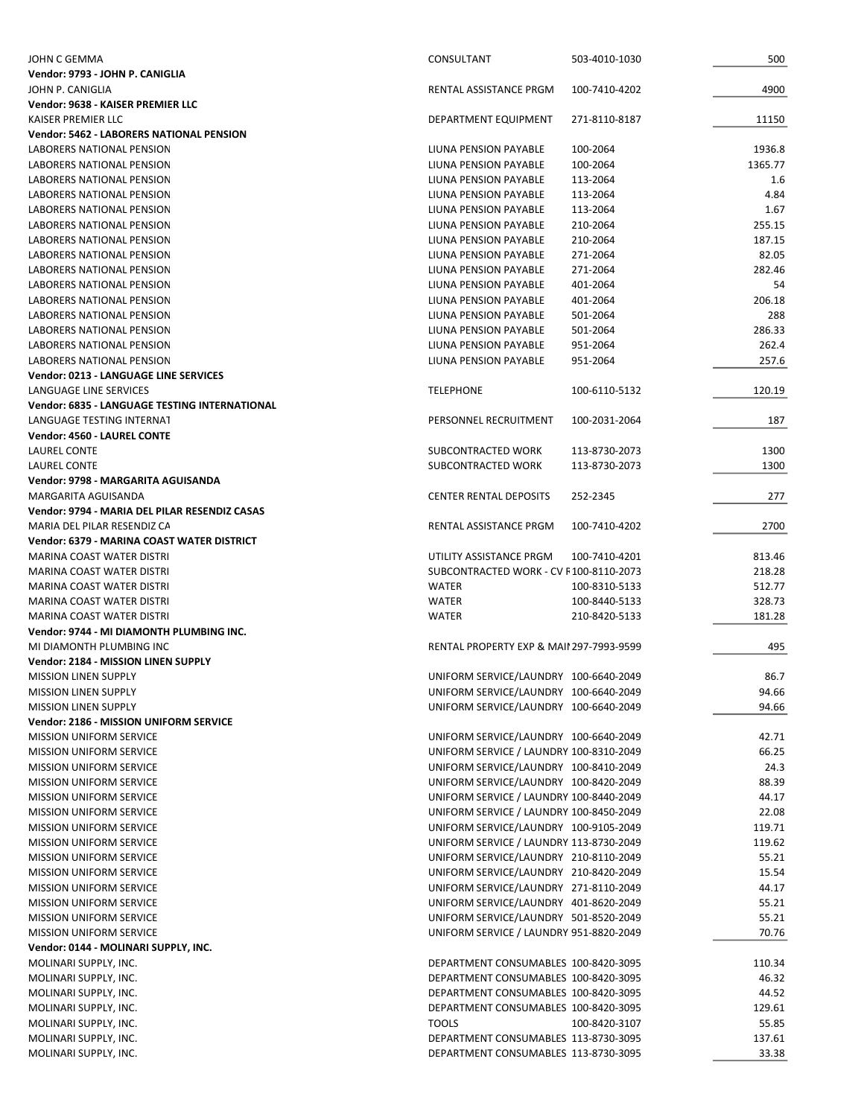| JOHN C GEMMA                                    | CONSULTANT                                          | 503-4010-1030 | 500     |
|-------------------------------------------------|-----------------------------------------------------|---------------|---------|
| Vendor: 9793 - JOHN P. CANIGLIA                 |                                                     |               |         |
| JOHN P. CANIGLIA                                | RENTAL ASSISTANCE PRGM                              | 100-7410-4202 | 4900    |
| Vendor: 9638 - KAISER PREMIER LLC               |                                                     |               |         |
| KAISER PREMIER LLC                              | DEPARTMENT EQUIPMENT                                | 271-8110-8187 | 11150   |
| <b>Vendor: 5462 - LABORERS NATIONAL PENSION</b> |                                                     |               |         |
| LABORERS NATIONAL PENSION                       | LIUNA PENSION PAYABLE                               | 100-2064      | 1936.8  |
| LABORERS NATIONAL PENSION                       | LIUNA PENSION PAYABLE                               | 100-2064      | 1365.77 |
| LABORERS NATIONAL PENSION                       | LIUNA PENSION PAYABLE                               | 113-2064      | 1.6     |
| LABORERS NATIONAL PENSION                       | LIUNA PENSION PAYABLE                               | 113-2064      | 4.84    |
| LABORERS NATIONAL PENSION                       | LIUNA PENSION PAYABLE                               | 113-2064      | 1.67    |
| LABORERS NATIONAL PENSION                       | LIUNA PENSION PAYABLE                               | 210-2064      | 255.15  |
| LABORERS NATIONAL PENSION                       | LIUNA PENSION PAYABLE                               | 210-2064      | 187.15  |
| LABORERS NATIONAL PENSION                       | LIUNA PENSION PAYABLE                               | 271-2064      | 82.05   |
| LABORERS NATIONAL PENSION                       | LIUNA PENSION PAYABLE                               | 271-2064      | 282.46  |
| LABORERS NATIONAL PENSION                       | LIUNA PENSION PAYABLE                               | 401-2064      | 54      |
| LABORERS NATIONAL PENSION                       | LIUNA PENSION PAYABLE                               | 401-2064      | 206.18  |
| LABORERS NATIONAL PENSION                       | LIUNA PENSION PAYABLE                               | 501-2064      | 288     |
| <b>LABORERS NATIONAL PENSION</b>                | LIUNA PENSION PAYABLE                               | 501-2064      | 286.33  |
| LABORERS NATIONAL PENSION                       | LIUNA PENSION PAYABLE                               | 951-2064      | 262.4   |
| <b>LABORERS NATIONAL PENSION</b>                | LIUNA PENSION PAYABLE                               | 951-2064      | 257.6   |
| <b>Vendor: 0213 - LANGUAGE LINE SERVICES</b>    |                                                     |               |         |
| LANGUAGE LINE SERVICES                          | <b>TELEPHONE</b>                                    | 100-6110-5132 | 120.19  |
| Vendor: 6835 - LANGUAGE TESTING INTERNATIONAL   |                                                     |               |         |
| LANGUAGE TESTING INTERNAT                       | PERSONNEL RECRUITMENT                               | 100-2031-2064 | 187     |
| Vendor: 4560 - LAUREL CONTE                     |                                                     |               |         |
| LAUREL CONTE                                    | SUBCONTRACTED WORK                                  | 113-8730-2073 | 1300    |
| LAUREL CONTE                                    | SUBCONTRACTED WORK                                  | 113-8730-2073 | 1300    |
| Vendor: 9798 - MARGARITA AGUISANDA              |                                                     |               |         |
| MARGARITA AGUISANDA                             | <b>CENTER RENTAL DEPOSITS</b>                       | 252-2345      | 277     |
| Vendor: 9794 - MARIA DEL PILAR RESENDIZ CASAS   |                                                     |               |         |
| MARIA DEL PILAR RESENDIZ CA                     | RENTAL ASSISTANCE PRGM                              | 100-7410-4202 | 2700    |
| Vendor: 6379 - MARINA COAST WATER DISTRICT      |                                                     |               |         |
| MARINA COAST WATER DISTRI                       | UTILITY ASSISTANCE PRGM                             | 100-7410-4201 | 813.46  |
| MARINA COAST WATER DISTRI                       | SUBCONTRACTED WORK - CV F100-8110-2073              |               | 218.28  |
| MARINA COAST WATER DISTRI                       | <b>WATER</b>                                        | 100-8310-5133 | 512.77  |
| MARINA COAST WATER DISTRI                       | <b>WATER</b>                                        | 100-8440-5133 | 328.73  |
| MARINA COAST WATER DISTRI                       | <b>WATER</b>                                        | 210-8420-5133 | 181.28  |
| Vendor: 9744 - MI DIAMONTH PLUMBING INC.        |                                                     |               |         |
| MI DIAMONTH PLUMBING INC.                       | <b>RENTAL PROPERTY EXP &amp; MAII 297-7993-9599</b> |               | 495     |
| Vendor: 2184 - MISSION LINEN SUPPLY             |                                                     |               |         |
| <b>MISSION LINEN SUPPLY</b>                     | UNIFORM SERVICE/LAUNDRY 100-6640-2049               |               | 86.7    |
| <b>MISSION LINEN SUPPLY</b>                     | UNIFORM SERVICE/LAUNDRY 100-6640-2049               |               | 94.66   |
| <b>MISSION LINEN SUPPLY</b>                     | UNIFORM SERVICE/LAUNDRY 100-6640-2049               |               | 94.66   |
| Vendor: 2186 - MISSION UNIFORM SERVICE          |                                                     |               |         |
| <b>MISSION UNIFORM SERVICE</b>                  | UNIFORM SERVICE/LAUNDRY 100-6640-2049               |               | 42.71   |
| <b>MISSION UNIFORM SERVICE</b>                  | UNIFORM SERVICE / LAUNDRY 100-8310-2049             |               | 66.25   |
| <b>MISSION UNIFORM SERVICE</b>                  | UNIFORM SERVICE/LAUNDRY 100-8410-2049               |               | 24.3    |
| <b>MISSION UNIFORM SERVICE</b>                  | UNIFORM SERVICE/LAUNDRY 100-8420-2049               |               | 88.39   |
| <b>MISSION UNIFORM SERVICE</b>                  | UNIFORM SERVICE / LAUNDRY 100-8440-2049             |               | 44.17   |
| <b>MISSION UNIFORM SERVICE</b>                  | UNIFORM SERVICE / LAUNDRY 100-8450-2049             |               | 22.08   |
| <b>MISSION UNIFORM SERVICE</b>                  | UNIFORM SERVICE/LAUNDRY 100-9105-2049               |               | 119.71  |
| <b>MISSION UNIFORM SERVICE</b>                  | UNIFORM SERVICE / LAUNDRY 113-8730-2049             |               | 119.62  |
| <b>MISSION UNIFORM SERVICE</b>                  | UNIFORM SERVICE/LAUNDRY 210-8110-2049               |               | 55.21   |
| <b>MISSION UNIFORM SERVICE</b>                  | UNIFORM SERVICE/LAUNDRY 210-8420-2049               |               | 15.54   |
| <b>MISSION UNIFORM SERVICE</b>                  | UNIFORM SERVICE/LAUNDRY 271-8110-2049               |               | 44.17   |
| <b>MISSION UNIFORM SERVICE</b>                  | UNIFORM SERVICE/LAUNDRY 401-8620-2049               |               | 55.21   |
| <b>MISSION UNIFORM SERVICE</b>                  | UNIFORM SERVICE/LAUNDRY 501-8520-2049               |               | 55.21   |
| <b>MISSION UNIFORM SERVICE</b>                  | UNIFORM SERVICE / LAUNDRY 951-8820-2049             |               | 70.76   |
| Vendor: 0144 - MOLINARI SUPPLY, INC.            |                                                     |               |         |
| MOLINARI SUPPLY, INC.                           | DEPARTMENT CONSUMABLES 100-8420-3095                |               | 110.34  |
| MOLINARI SUPPLY, INC.                           | DEPARTMENT CONSUMABLES 100-8420-3095                |               | 46.32   |
| MOLINARI SUPPLY, INC.                           | DEPARTMENT CONSUMABLES 100-8420-3095                |               | 44.52   |
| MOLINARI SUPPLY, INC.                           | DEPARTMENT CONSUMABLES 100-8420-3095                |               | 129.61  |
| MOLINARI SUPPLY, INC.                           | <b>TOOLS</b>                                        | 100-8420-3107 | 55.85   |
| MOLINARI SUPPLY, INC.                           | DEPARTMENT CONSUMABLES 113-8730-3095                |               | 137.61  |
| MOLINARI SUPPLY, INC.                           | DEPARTMENT CONSUMABLES 113-8730-3095                |               | 33.38   |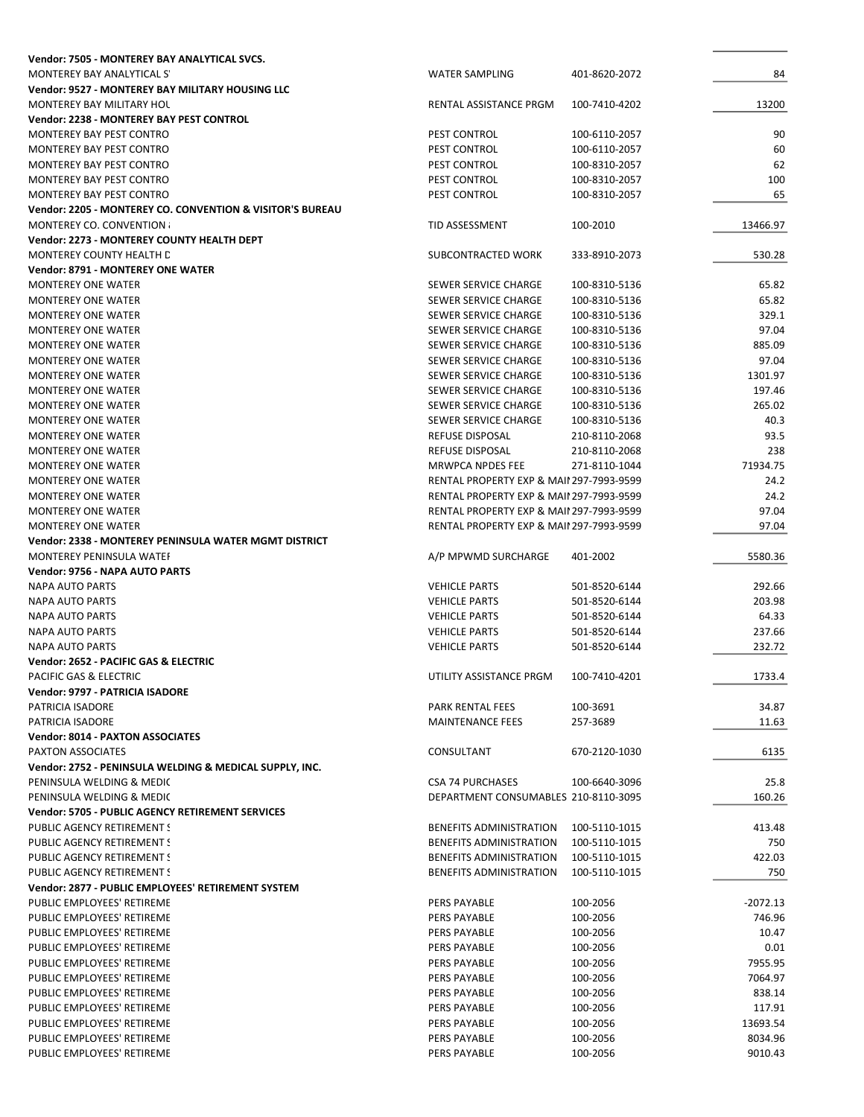| Vendor: 7505 - MONTEREY BAY ANALYTICAL SVCS.              |                                                     |               |            |
|-----------------------------------------------------------|-----------------------------------------------------|---------------|------------|
| MONTEREY BAY ANALYTICAL S'                                | <b>WATER SAMPLING</b>                               | 401-8620-2072 | 84         |
| Vendor: 9527 - MONTEREY BAY MILITARY HOUSING LLC          |                                                     |               |            |
| MONTEREY BAY MILITARY HOL                                 | RENTAL ASSISTANCE PRGM                              | 100-7410-4202 | 13200      |
| <b>Vendor: 2238 - MONTEREY BAY PEST CONTROL</b>           |                                                     |               |            |
| <b>MONTEREY BAY PEST CONTRO</b>                           | PEST CONTROL                                        | 100-6110-2057 | 90         |
| MONTEREY BAY PEST CONTRO                                  | PEST CONTROL                                        | 100-6110-2057 | 60         |
| MONTEREY BAY PEST CONTRO                                  | PEST CONTROL                                        | 100-8310-2057 | 62         |
| MONTEREY BAY PEST CONTRO                                  | PEST CONTROL                                        | 100-8310-2057 | 100        |
| MONTEREY BAY PEST CONTRO                                  | PEST CONTROL                                        | 100-8310-2057 | 65         |
| Vendor: 2205 - MONTEREY CO. CONVENTION & VISITOR'S BUREAU |                                                     |               |            |
| <b>MONTEREY CO. CONVENTION:</b>                           | TID ASSESSMENT                                      | 100-2010      | 13466.97   |
| Vendor: 2273 - MONTEREY COUNTY HEALTH DEPT                |                                                     |               |            |
| MONTEREY COUNTY HEALTH D                                  | SUBCONTRACTED WORK                                  | 333-8910-2073 | 530.28     |
| <b>Vendor: 8791 - MONTEREY ONE WATER</b>                  |                                                     |               |            |
| <b>MONTEREY ONE WATER</b>                                 | SEWER SERVICE CHARGE                                | 100-8310-5136 | 65.82      |
|                                                           |                                                     |               |            |
| <b>MONTEREY ONE WATER</b>                                 | SEWER SERVICE CHARGE                                | 100-8310-5136 | 65.82      |
| <b>MONTEREY ONE WATER</b>                                 | SEWER SERVICE CHARGE                                | 100-8310-5136 | 329.1      |
| <b>MONTEREY ONE WATER</b>                                 | SEWER SERVICE CHARGE                                | 100-8310-5136 | 97.04      |
| <b>MONTEREY ONE WATER</b>                                 | SEWER SERVICE CHARGE                                | 100-8310-5136 | 885.09     |
| <b>MONTEREY ONE WATER</b>                                 | SEWER SERVICE CHARGE                                | 100-8310-5136 | 97.04      |
| <b>MONTEREY ONE WATER</b>                                 | SEWER SERVICE CHARGE                                | 100-8310-5136 | 1301.97    |
| <b>MONTEREY ONE WATER</b>                                 | SEWER SERVICE CHARGE                                | 100-8310-5136 | 197.46     |
| <b>MONTEREY ONE WATER</b>                                 | SEWER SERVICE CHARGE                                | 100-8310-5136 | 265.02     |
| <b>MONTEREY ONE WATER</b>                                 | SEWER SERVICE CHARGE                                | 100-8310-5136 | 40.3       |
| <b>MONTEREY ONE WATER</b>                                 | <b>REFUSE DISPOSAL</b>                              | 210-8110-2068 | 93.5       |
| <b>MONTEREY ONE WATER</b>                                 | <b>REFUSE DISPOSAL</b>                              | 210-8110-2068 | 238        |
| <b>MONTEREY ONE WATER</b>                                 | MRWPCA NPDES FEE                                    | 271-8110-1044 | 71934.75   |
| <b>MONTEREY ONE WATER</b>                                 | <b>RENTAL PROPERTY EXP &amp; MAII 297-7993-9599</b> |               | 24.2       |
| <b>MONTEREY ONE WATER</b>                                 | <b>RENTAL PROPERTY EXP &amp; MAII 297-7993-9599</b> |               | 24.2       |
| <b>MONTEREY ONE WATER</b>                                 | RENTAL PROPERTY EXP & MAII 297-7993-9599            |               | 97.04      |
| <b>MONTEREY ONE WATER</b>                                 | <b>RENTAL PROPERTY EXP &amp; MAII 297-7993-9599</b> |               | 97.04      |
| Vendor: 2338 - MONTEREY PENINSULA WATER MGMT DISTRICT     |                                                     |               |            |
| MONTEREY PENINSULA WATEF                                  | A/P MPWMD SURCHARGE                                 | 401-2002      | 5580.36    |
| Vendor: 9756 - NAPA AUTO PARTS                            |                                                     |               |            |
| <b>NAPA AUTO PARTS</b>                                    | <b>VEHICLE PARTS</b>                                | 501-8520-6144 | 292.66     |
| <b>NAPA AUTO PARTS</b>                                    | <b>VEHICLE PARTS</b>                                | 501-8520-6144 | 203.98     |
|                                                           |                                                     | 501-8520-6144 |            |
| <b>NAPA AUTO PARTS</b>                                    | <b>VEHICLE PARTS</b>                                |               | 64.33      |
| <b>NAPA AUTO PARTS</b>                                    | <b>VEHICLE PARTS</b>                                | 501-8520-6144 | 237.66     |
| <b>NAPA AUTO PARTS</b>                                    | <b>VEHICLE PARTS</b>                                | 501-8520-6144 | 232.72     |
| Vendor: 2652 - PACIFIC GAS & ELECTRIC                     |                                                     |               |            |
| PACIFIC GAS & ELECTRIC                                    | UTILITY ASSISTANCE PRGM                             | 100-7410-4201 | 1733.4     |
| Vendor: 9797 - PATRICIA ISADORE                           |                                                     |               |            |
| PATRICIA ISADORE                                          | PARK RENTAL FEES                                    | 100-3691      | 34.87      |
| <b>PATRICIA ISADORE</b>                                   | <b>MAINTENANCE FEES</b>                             | 257-3689      | 11.63      |
| <b>Vendor: 8014 - PAXTON ASSOCIATES</b>                   |                                                     |               |            |
| PAXTON ASSOCIATES                                         | CONSULTANT                                          | 670-2120-1030 | 6135       |
| Vendor: 2752 - PENINSULA WELDING & MEDICAL SUPPLY, INC.   |                                                     |               |            |
| PENINSULA WELDING & MEDIC                                 | <b>CSA 74 PURCHASES</b>                             | 100-6640-3096 | 25.8       |
| PENINSULA WELDING & MEDIC                                 | DEPARTMENT CONSUMABLES 210-8110-3095                |               | 160.26     |
| Vendor: 5705 - PUBLIC AGENCY RETIREMENT SERVICES          |                                                     |               |            |
| PUBLIC AGENCY RETIREMENT S                                | <b>BENEFITS ADMINISTRATION</b>                      | 100-5110-1015 | 413.48     |
| PUBLIC AGENCY RETIREMENT S                                | <b>BENEFITS ADMINISTRATION</b>                      | 100-5110-1015 | 750        |
| PUBLIC AGENCY RETIREMENT S                                | <b>BENEFITS ADMINISTRATION</b>                      | 100-5110-1015 | 422.03     |
| PUBLIC AGENCY RETIREMENT S                                | <b>BENEFITS ADMINISTRATION</b>                      | 100-5110-1015 | 750        |
| Vendor: 2877 - PUBLIC EMPLOYEES' RETIREMENT SYSTEM        |                                                     |               |            |
| PUBLIC EMPLOYEES' RETIREME                                | PERS PAYABLE                                        | 100-2056      | $-2072.13$ |
| PUBLIC EMPLOYEES' RETIREME                                | PERS PAYABLE                                        | 100-2056      | 746.96     |
| PUBLIC EMPLOYEES' RETIREME                                | PERS PAYABLE                                        | 100-2056      | 10.47      |
| PUBLIC EMPLOYEES' RETIREME                                | PERS PAYABLE                                        | 100-2056      | 0.01       |
| PUBLIC EMPLOYEES' RETIREME                                | PERS PAYABLE                                        | 100-2056      | 7955.95    |
| PUBLIC EMPLOYEES' RETIREME                                | PERS PAYABLE                                        | 100-2056      | 7064.97    |
| PUBLIC EMPLOYEES' RETIREME                                | PERS PAYABLE                                        | 100-2056      | 838.14     |
|                                                           |                                                     |               |            |
| PUBLIC EMPLOYEES' RETIREME                                | PERS PAYABLE                                        | 100-2056      | 117.91     |
| PUBLIC EMPLOYEES' RETIREME                                | PERS PAYABLE                                        | 100-2056      | 13693.54   |
| PUBLIC EMPLOYEES' RETIREME                                | PERS PAYABLE                                        | 100-2056      | 8034.96    |
| PUBLIC EMPLOYEES' RETIREME                                | PERS PAYABLE                                        | 100-2056      | 9010.43    |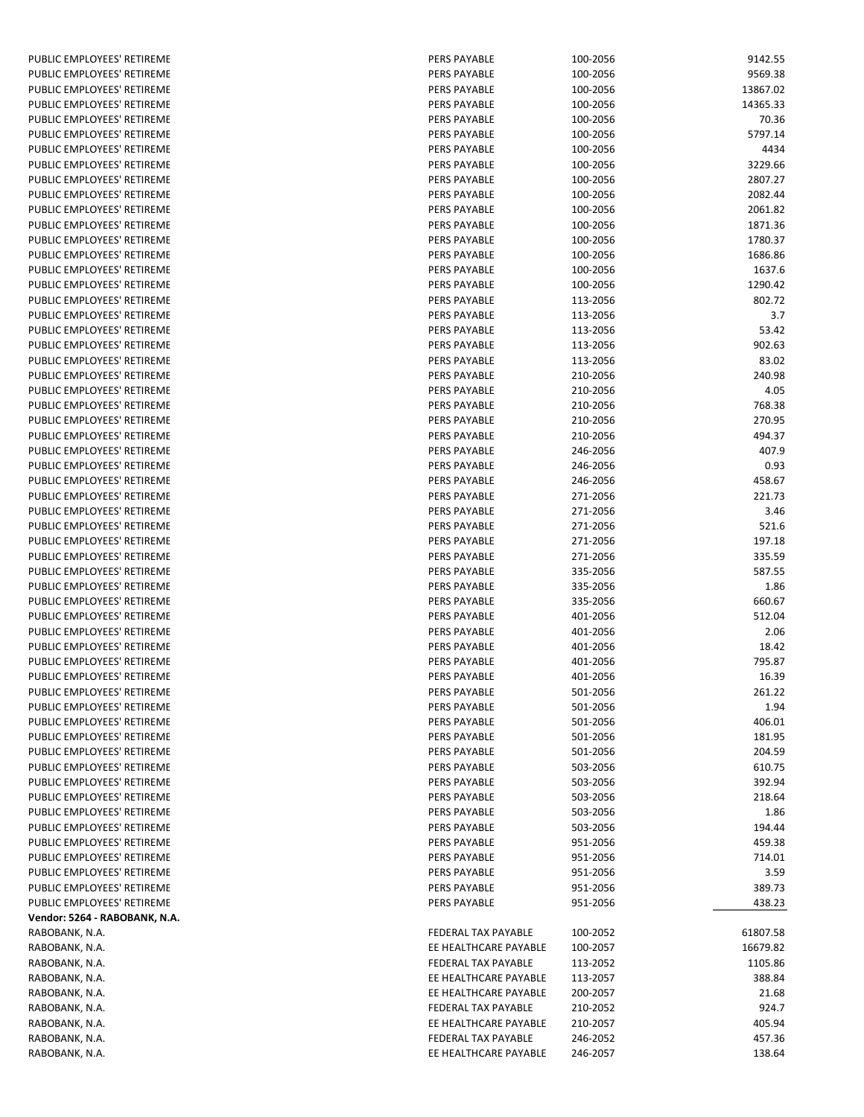| PUBLIC EMPLOYEES' RETIREME    | <b>PERS PAYABLE</b>   | 100-2056 | 9142.55  |
|-------------------------------|-----------------------|----------|----------|
| PUBLIC EMPLOYEES' RETIREME    | <b>PERS PAYABLE</b>   | 100-2056 | 9569.38  |
| PUBLIC EMPLOYEES' RETIREME    | <b>PERS PAYABLE</b>   | 100-2056 | 13867.02 |
| PUBLIC EMPLOYEES' RETIREME    | PERS PAYABLE          | 100-2056 | 14365.33 |
| PUBLIC EMPLOYEES' RETIREME    | <b>PERS PAYABLE</b>   | 100-2056 | 70.36    |
| PUBLIC EMPLOYEES' RETIREME    | <b>PERS PAYABLE</b>   | 100-2056 | 5797.14  |
| PUBLIC EMPLOYEES' RETIREME    | <b>PERS PAYABLE</b>   | 100-2056 | 4434     |
| PUBLIC EMPLOYEES' RETIREME    | <b>PERS PAYABLE</b>   | 100-2056 | 3229.66  |
| PUBLIC EMPLOYEES' RETIREME    | <b>PERS PAYABLE</b>   | 100-2056 | 2807.27  |
| PUBLIC EMPLOYEES' RETIREME    | <b>PERS PAYABLE</b>   |          | 2082.44  |
|                               |                       | 100-2056 |          |
| PUBLIC EMPLOYEES' RETIREME    | <b>PERS PAYABLE</b>   | 100-2056 | 2061.82  |
| PUBLIC EMPLOYEES' RETIREME    | <b>PERS PAYABLE</b>   | 100-2056 | 1871.36  |
| PUBLIC EMPLOYEES' RETIREME    | PERS PAYABLE          | 100-2056 | 1780.37  |
| PUBLIC EMPLOYEES' RETIREME    | PERS PAYABLE          | 100-2056 | 1686.86  |
| PUBLIC EMPLOYEES' RETIREME    | <b>PERS PAYABLE</b>   | 100-2056 | 1637.6   |
| PUBLIC EMPLOYEES' RETIREME    | <b>PERS PAYABLE</b>   | 100-2056 | 1290.42  |
| PUBLIC EMPLOYEES' RETIREME    | <b>PERS PAYABLE</b>   | 113-2056 | 802.72   |
| PUBLIC EMPLOYEES' RETIREME    | <b>PERS PAYABLE</b>   | 113-2056 | 3.7      |
| PUBLIC EMPLOYEES' RETIREME    | <b>PERS PAYABLE</b>   | 113-2056 | 53.42    |
| PUBLIC EMPLOYEES' RETIREME    | <b>PERS PAYABLE</b>   | 113-2056 | 902.63   |
| PUBLIC EMPLOYEES' RETIREME    | <b>PERS PAYABLE</b>   | 113-2056 | 83.02    |
| PUBLIC EMPLOYEES' RETIREME    | PERS PAYABLE          | 210-2056 | 240.98   |
| PUBLIC EMPLOYEES' RETIREME    | <b>PERS PAYABLE</b>   | 210-2056 | 4.05     |
| PUBLIC EMPLOYEES' RETIREME    | <b>PERS PAYABLE</b>   | 210-2056 | 768.38   |
| PUBLIC EMPLOYEES' RETIREME    | <b>PERS PAYABLE</b>   | 210-2056 | 270.95   |
| PUBLIC EMPLOYEES' RETIREME    | <b>PERS PAYABLE</b>   | 210-2056 | 494.37   |
| PUBLIC EMPLOYEES' RETIREME    | <b>PERS PAYABLE</b>   | 246-2056 | 407.9    |
| PUBLIC EMPLOYEES' RETIREME    | <b>PERS PAYABLE</b>   | 246-2056 | 0.93     |
| PUBLIC EMPLOYEES' RETIREME    | <b>PERS PAYABLE</b>   | 246-2056 | 458.67   |
| PUBLIC EMPLOYEES' RETIREME    | <b>PERS PAYABLE</b>   | 271-2056 | 221.73   |
| PUBLIC EMPLOYEES' RETIREME    | PERS PAYABLE          | 271-2056 | 3.46     |
|                               |                       |          |          |
| PUBLIC EMPLOYEES' RETIREME    | <b>PERS PAYABLE</b>   | 271-2056 | 521.6    |
| PUBLIC EMPLOYEES' RETIREME    | <b>PERS PAYABLE</b>   | 271-2056 | 197.18   |
| PUBLIC EMPLOYEES' RETIREME    | <b>PERS PAYABLE</b>   | 271-2056 | 335.59   |
| PUBLIC EMPLOYEES' RETIREME    | <b>PERS PAYABLE</b>   | 335-2056 | 587.55   |
| PUBLIC EMPLOYEES' RETIREME    | <b>PERS PAYABLE</b>   | 335-2056 | 1.86     |
| PUBLIC EMPLOYEES' RETIREME    | <b>PERS PAYABLE</b>   | 335-2056 | 660.67   |
| PUBLIC EMPLOYEES' RETIREME    | <b>PERS PAYABLE</b>   | 401-2056 | 512.04   |
| PUBLIC EMPLOYEES' RETIREME    | <b>PERS PAYABLE</b>   | 401-2056 | 2.06     |
| PUBLIC EMPLOYEES' RETIREME    | PERS PAYABLE          | 401-2056 | 18.42    |
| PUBLIC EMPLOYEES' RETIREME    | PERS PAYABLE          | 401-2056 | 795.87   |
| PUBLIC EMPLOYEES' RETIREME    | <b>PERS PAYABLE</b>   | 401-2056 | 16.39    |
| PUBLIC EMPLOYEES' RETIREME    | PERS PAYABLE          | 501-2056 | 261.22   |
| PUBLIC EMPLOYEES' RETIREME    | PERS PAYABLE          | 501-2056 | 1.94     |
| PUBLIC EMPLOYEES' RETIREME    | PERS PAYABLE          | 501-2056 | 406.01   |
| PUBLIC EMPLOYEES' RETIREME    | PERS PAYABLE          | 501-2056 | 181.95   |
| PUBLIC EMPLOYEES' RETIREME    | PERS PAYABLE          | 501-2056 | 204.59   |
| PUBLIC EMPLOYEES' RETIREME    | PERS PAYABLE          | 503-2056 | 610.75   |
| PUBLIC EMPLOYEES' RETIREME    | PERS PAYABLE          | 503-2056 | 392.94   |
| PUBLIC EMPLOYEES' RETIREME    | PERS PAYABLE          | 503-2056 | 218.64   |
| PUBLIC EMPLOYEES' RETIREME    | PERS PAYABLE          | 503-2056 | 1.86     |
| PUBLIC EMPLOYEES' RETIREME    | PERS PAYABLE          | 503-2056 | 194.44   |
| PUBLIC EMPLOYEES' RETIREME    | <b>PERS PAYABLE</b>   | 951-2056 | 459.38   |
| PUBLIC EMPLOYEES' RETIREME    | PERS PAYABLE          | 951-2056 | 714.01   |
|                               |                       |          |          |
| PUBLIC EMPLOYEES' RETIREME    | PERS PAYABLE          | 951-2056 | 3.59     |
| PUBLIC EMPLOYEES' RETIREME    | PERS PAYABLE          | 951-2056 | 389.73   |
| PUBLIC EMPLOYEES' RETIREME    | PERS PAYABLE          | 951-2056 | 438.23   |
| Vendor: 5264 - RABOBANK, N.A. |                       |          |          |
| RABOBANK, N.A.                | FEDERAL TAX PAYABLE   | 100-2052 | 61807.58 |
| RABOBANK, N.A.                | EE HEALTHCARE PAYABLE | 100-2057 | 16679.82 |
| RABOBANK, N.A.                | FEDERAL TAX PAYABLE   | 113-2052 | 1105.86  |
| RABOBANK, N.A.                | EE HEALTHCARE PAYABLE | 113-2057 | 388.84   |
| RABOBANK, N.A.                | EE HEALTHCARE PAYABLE | 200-2057 | 21.68    |
| RABOBANK, N.A.                | FEDERAL TAX PAYABLE   | 210-2052 | 924.7    |
| RABOBANK, N.A.                | EE HEALTHCARE PAYABLE | 210-2057 | 405.94   |
| RABOBANK, N.A.                | FEDERAL TAX PAYABLE   | 246-2052 | 457.36   |
| RABOBANK, N.A.                | EE HEALTHCARE PAYABLE | 246-2057 | 138.64   |
|                               |                       |          |          |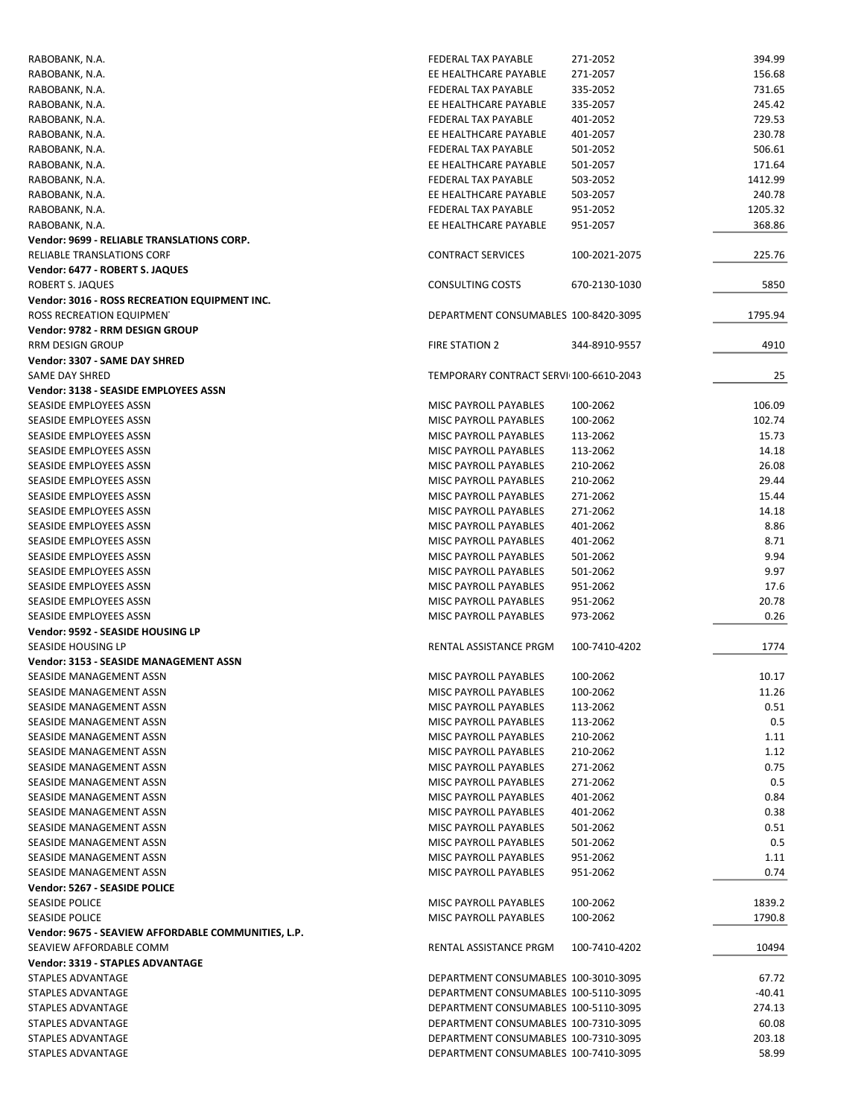| RABOBANK, N.A.                                      | FEDERAL TAX PAYABLE                    | 271-2052      | 394.99  |
|-----------------------------------------------------|----------------------------------------|---------------|---------|
| RABOBANK, N.A.                                      | EE HEALTHCARE PAYABLE                  | 271-2057      | 156.68  |
| RABOBANK, N.A.                                      | FEDERAL TAX PAYABLE                    | 335-2052      | 731.65  |
| RABOBANK, N.A.                                      | EE HEALTHCARE PAYABLE                  | 335-2057      | 245.42  |
| RABOBANK, N.A.                                      | FEDERAL TAX PAYABLE                    | 401-2052      | 729.53  |
| RABOBANK, N.A.                                      | EE HEALTHCARE PAYABLE                  | 401-2057      | 230.78  |
| RABOBANK, N.A.                                      | FEDERAL TAX PAYABLE                    | 501-2052      | 506.61  |
| RABOBANK, N.A.                                      | EE HEALTHCARE PAYABLE                  | 501-2057      | 171.64  |
| RABOBANK, N.A.                                      | FEDERAL TAX PAYABLE                    | 503-2052      | 1412.99 |
| RABOBANK, N.A.                                      | EE HEALTHCARE PAYABLE                  | 503-2057      | 240.78  |
| RABOBANK, N.A.                                      | FEDERAL TAX PAYABLE                    | 951-2052      | 1205.32 |
| RABOBANK, N.A.                                      | EE HEALTHCARE PAYABLE                  | 951-2057      | 368.86  |
| Vendor: 9699 - RELIABLE TRANSLATIONS CORP.          |                                        |               |         |
| <b>RELIABLE TRANSLATIONS CORF</b>                   | <b>CONTRACT SERVICES</b>               | 100-2021-2075 | 225.76  |
| Vendor: 6477 - ROBERT S. JAQUES                     |                                        |               |         |
| ROBERT S. JAQUES                                    | <b>CONSULTING COSTS</b>                | 670-2130-1030 | 5850    |
| Vendor: 3016 - ROSS RECREATION EQUIPMENT INC.       |                                        |               |         |
| ROSS RECREATION EQUIPMENT                           | DEPARTMENT CONSUMABLES 100-8420-3095   |               | 1795.94 |
| Vendor: 9782 - RRM DESIGN GROUP                     |                                        |               |         |
| <b>RRM DESIGN GROUP</b>                             | FIRE STATION 2                         | 344-8910-9557 | 4910    |
|                                                     |                                        |               |         |
| Vendor: 3307 - SAME DAY SHRED                       |                                        |               |         |
| <b>SAME DAY SHRED</b>                               | TEMPORARY CONTRACT SERVI 100-6610-2043 |               | 25      |
| Vendor: 3138 - SEASIDE EMPLOYEES ASSN               |                                        |               |         |
| SEASIDE EMPLOYEES ASSN                              | MISC PAYROLL PAYABLES                  | 100-2062      | 106.09  |
| SEASIDE EMPLOYEES ASSN                              | <b>MISC PAYROLL PAYABLES</b>           | 100-2062      | 102.74  |
| SEASIDE EMPLOYEES ASSN                              | MISC PAYROLL PAYABLES                  | 113-2062      | 15.73   |
| SEASIDE EMPLOYEES ASSN                              | <b>MISC PAYROLL PAYABLES</b>           | 113-2062      | 14.18   |
| SEASIDE EMPLOYEES ASSN                              | MISC PAYROLL PAYABLES                  | 210-2062      | 26.08   |
| SEASIDE EMPLOYEES ASSN                              | MISC PAYROLL PAYABLES                  | 210-2062      | 29.44   |
| SEASIDE EMPLOYEES ASSN                              | MISC PAYROLL PAYABLES                  | 271-2062      | 15.44   |
| SEASIDE EMPLOYEES ASSN                              | MISC PAYROLL PAYABLES                  | 271-2062      | 14.18   |
| SEASIDE EMPLOYEES ASSN                              | MISC PAYROLL PAYABLES                  | 401-2062      | 8.86    |
| SEASIDE EMPLOYEES ASSN                              | MISC PAYROLL PAYABLES                  | 401-2062      | 8.71    |
| SEASIDE EMPLOYEES ASSN                              | MISC PAYROLL PAYABLES                  | 501-2062      | 9.94    |
| SEASIDE EMPLOYEES ASSN                              | MISC PAYROLL PAYABLES                  | 501-2062      | 9.97    |
| SEASIDE EMPLOYEES ASSN                              | MISC PAYROLL PAYABLES                  | 951-2062      | 17.6    |
| SEASIDE EMPLOYEES ASSN                              | MISC PAYROLL PAYABLES                  | 951-2062      | 20.78   |
| SEASIDE EMPLOYEES ASSN                              | MISC PAYROLL PAYABLES                  | 973-2062      | 0.26    |
| Vendor: 9592 - SEASIDE HOUSING LP                   |                                        |               |         |
| SEASIDE HOUSING LP                                  | RENTAL ASSISTANCE PRGM                 | 100-7410-4202 | 1774    |
| <b>Vendor: 3153 - SEASIDE MANAGEMENT ASSN</b>       |                                        |               |         |
| SEASIDE MANAGEMENT ASSN                             | <b>MISC PAYROLL PAYABLES</b>           | 100-2062      | 10.17   |
| SEASIDE MANAGEMENT ASSN                             | MISC PAYROLL PAYABLES                  | 100-2062      | 11.26   |
| SEASIDE MANAGEMENT ASSN                             | <b>MISC PAYROLL PAYABLES</b>           | 113-2062      | 0.51    |
| SEASIDE MANAGEMENT ASSN                             | MISC PAYROLL PAYABLES                  | 113-2062      | 0.5     |
| SEASIDE MANAGEMENT ASSN                             | <b>MISC PAYROLL PAYABLES</b>           | 210-2062      | 1.11    |
| SEASIDE MANAGEMENT ASSN                             | MISC PAYROLL PAYABLES                  | 210-2062      | 1.12    |
|                                                     |                                        |               |         |
| SEASIDE MANAGEMENT ASSN                             | MISC PAYROLL PAYABLES                  | 271-2062      | 0.75    |
| SEASIDE MANAGEMENT ASSN                             | MISC PAYROLL PAYABLES                  | 271-2062      | 0.5     |
| SEASIDE MANAGEMENT ASSN                             | MISC PAYROLL PAYABLES                  | 401-2062      | 0.84    |
| SEASIDE MANAGEMENT ASSN                             | <b>MISC PAYROLL PAYABLES</b>           | 401-2062      | 0.38    |
| SEASIDE MANAGEMENT ASSN                             | MISC PAYROLL PAYABLES                  | 501-2062      | 0.51    |
| SEASIDE MANAGEMENT ASSN                             | <b>MISC PAYROLL PAYABLES</b>           | 501-2062      | 0.5     |
| SEASIDE MANAGEMENT ASSN                             | MISC PAYROLL PAYABLES                  | 951-2062      | 1.11    |
| SEASIDE MANAGEMENT ASSN                             | MISC PAYROLL PAYABLES                  | 951-2062      | 0.74    |
| Vendor: 5267 - SEASIDE POLICE                       |                                        |               |         |
| <b>SEASIDE POLICE</b>                               | MISC PAYROLL PAYABLES                  | 100-2062      | 1839.2  |
| <b>SEASIDE POLICE</b>                               | MISC PAYROLL PAYABLES                  | 100-2062      | 1790.8  |
| Vendor: 9675 - SEAVIEW AFFORDABLE COMMUNITIES, L.P. |                                        |               |         |
| SEAVIEW AFFORDABLE COMM                             | RENTAL ASSISTANCE PRGM                 | 100-7410-4202 | 10494   |
| Vendor: 3319 - STAPLES ADVANTAGE                    |                                        |               |         |
| STAPLES ADVANTAGE                                   | DEPARTMENT CONSUMABLES 100-3010-3095   |               | 67.72   |
| STAPLES ADVANTAGE                                   | DEPARTMENT CONSUMABLES 100-5110-3095   |               | -40.41  |
| STAPLES ADVANTAGE                                   | DEPARTMENT CONSUMABLES 100-5110-3095   |               | 274.13  |
| STAPLES ADVANTAGE                                   | DEPARTMENT CONSUMABLES 100-7310-3095   |               | 60.08   |
| STAPLES ADVANTAGE                                   | DEPARTMENT CONSUMABLES 100-7310-3095   |               | 203.18  |
| STAPLES ADVANTAGE                                   | DEPARTMENT CONSUMABLES 100-7410-3095   |               | 58.99   |
|                                                     |                                        |               |         |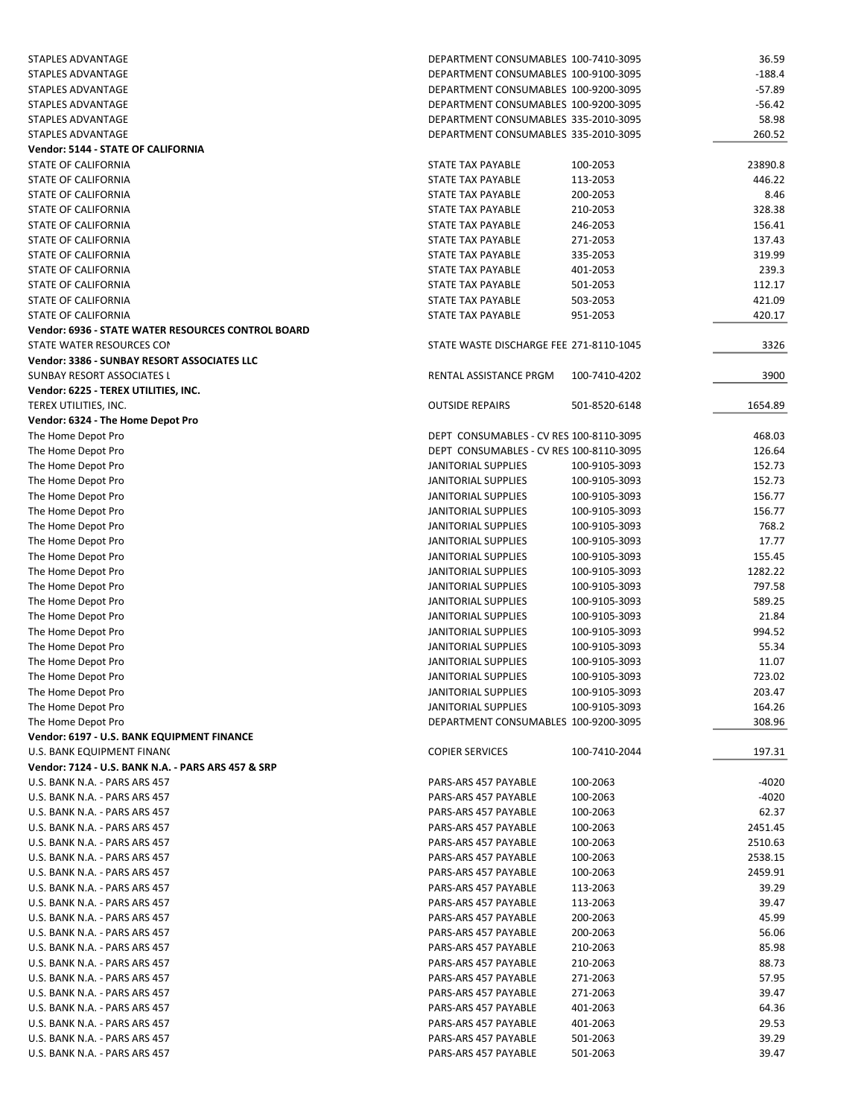| <b>STAPLES ADVANTAGE</b>                                  | DEPARTMENT CONSUMABLES 100-7410-3095    |               | 36.59    |
|-----------------------------------------------------------|-----------------------------------------|---------------|----------|
| STAPLES ADVANTAGE                                         | DEPARTMENT CONSUMABLES 100-9100-3095    |               | $-188.4$ |
| <b>STAPLES ADVANTAGE</b>                                  | DEPARTMENT CONSUMABLES 100-9200-3095    |               | $-57.89$ |
| STAPLES ADVANTAGE                                         | DEPARTMENT CONSUMABLES 100-9200-3095    |               | $-56.42$ |
| STAPLES ADVANTAGE                                         | DEPARTMENT CONSUMABLES 335-2010-3095    |               | 58.98    |
| <b>STAPLES ADVANTAGE</b>                                  | DEPARTMENT CONSUMABLES 335-2010-3095    |               | 260.52   |
| Vendor: 5144 - STATE OF CALIFORNIA                        |                                         |               |          |
| STATE OF CALIFORNIA                                       | STATE TAX PAYABLE                       | 100-2053      | 23890.8  |
| <b>STATE OF CALIFORNIA</b>                                | <b>STATE TAX PAYABLE</b>                | 113-2053      | 446.22   |
| <b>STATE OF CALIFORNIA</b>                                | <b>STATE TAX PAYABLE</b>                | 200-2053      | 8.46     |
| STATE OF CALIFORNIA                                       | STATE TAX PAYABLE                       | 210-2053      | 328.38   |
| STATE OF CALIFORNIA                                       | STATE TAX PAYABLE                       | 246-2053      | 156.41   |
| STATE OF CALIFORNIA                                       | STATE TAX PAYABLE                       | 271-2053      | 137.43   |
| STATE OF CALIFORNIA                                       | STATE TAX PAYABLE                       | 335-2053      | 319.99   |
| STATE OF CALIFORNIA                                       | STATE TAX PAYABLE                       | 401-2053      | 239.3    |
| STATE OF CALIFORNIA                                       | STATE TAX PAYABLE                       | 501-2053      | 112.17   |
| STATE OF CALIFORNIA                                       | <b>STATE TAX PAYABLE</b>                | 503-2053      | 421.09   |
| <b>STATE OF CALIFORNIA</b>                                | <b>STATE TAX PAYABLE</b>                | 951-2053      | 420.17   |
| <b>Vendor: 6936 - STATE WATER RESOURCES CONTROL BOARD</b> |                                         |               |          |
| STATE WATER RESOURCES CON                                 | STATE WASTE DISCHARGE FEE 271-8110-1045 |               | 3326     |
| Vendor: 3386 - SUNBAY RESORT ASSOCIATES LLC               |                                         |               |          |
| <b>SUNBAY RESORT ASSOCIATES L</b>                         | RENTAL ASSISTANCE PRGM                  | 100-7410-4202 | 3900     |
| Vendor: 6225 - TEREX UTILITIES, INC.                      |                                         |               |          |
| TEREX UTILITIES, INC.                                     | <b>OUTSIDE REPAIRS</b>                  | 501-8520-6148 | 1654.89  |
| Vendor: 6324 - The Home Depot Pro                         |                                         |               |          |
| The Home Depot Pro                                        | DEPT CONSUMABLES - CV RES 100-8110-3095 |               | 468.03   |
| The Home Depot Pro                                        | DEPT CONSUMABLES - CV RES 100-8110-3095 |               | 126.64   |
| The Home Depot Pro                                        | JANITORIAL SUPPLIES                     | 100-9105-3093 | 152.73   |
| The Home Depot Pro                                        | JANITORIAL SUPPLIES                     | 100-9105-3093 | 152.73   |
| The Home Depot Pro                                        | JANITORIAL SUPPLIES                     | 100-9105-3093 | 156.77   |
| The Home Depot Pro                                        | JANITORIAL SUPPLIES                     | 100-9105-3093 | 156.77   |
| The Home Depot Pro                                        | JANITORIAL SUPPLIES                     | 100-9105-3093 | 768.2    |
| The Home Depot Pro                                        | JANITORIAL SUPPLIES                     | 100-9105-3093 | 17.77    |
| The Home Depot Pro                                        | JANITORIAL SUPPLIES                     | 100-9105-3093 | 155.45   |
| The Home Depot Pro                                        | JANITORIAL SUPPLIES                     | 100-9105-3093 | 1282.22  |
| The Home Depot Pro                                        | JANITORIAL SUPPLIES                     | 100-9105-3093 | 797.58   |
| The Home Depot Pro                                        | JANITORIAL SUPPLIES                     | 100-9105-3093 | 589.25   |
| The Home Depot Pro                                        | JANITORIAL SUPPLIES                     | 100-9105-3093 | 21.84    |
| The Home Depot Pro                                        | <b>JANITORIAL SUPPLIES</b>              | 100-9105-3093 | 994.52   |
| The Home Depot Pro                                        | JANITORIAL SUPPLIES                     | 100-9105-3093 | 55.34    |
| The Home Depot Pro                                        | JANITORIAL SUPPLIES                     | 100-9105-3093 | 11.07    |
| The Home Depot Pro                                        | JANITORIAL SUPPLIES                     | 100-9105-3093 | 723.02   |
| The Home Depot Pro                                        | JANITORIAL SUPPLIES                     | 100-9105-3093 | 203.47   |
| The Home Depot Pro                                        | JANITORIAL SUPPLIES                     | 100-9105-3093 | 164.26   |
| The Home Depot Pro                                        | DEPARTMENT CONSUMABLES 100-9200-3095    |               | 308.96   |
| Vendor: 6197 - U.S. BANK EQUIPMENT FINANCE                |                                         |               |          |
| U.S. BANK EQUIPMENT FINANC                                | <b>COPIER SERVICES</b>                  | 100-7410-2044 | 197.31   |
| Vendor: 7124 - U.S. BANK N.A. - PARS ARS 457 & SRP        |                                         |               |          |
| U.S. BANK N.A. - PARS ARS 457                             | PARS-ARS 457 PAYABLE                    | 100-2063      | $-4020$  |
| U.S. BANK N.A. - PARS ARS 457                             | PARS-ARS 457 PAYABLE                    | 100-2063      | $-4020$  |
| U.S. BANK N.A. - PARS ARS 457                             | PARS-ARS 457 PAYABLE                    | 100-2063      | 62.37    |
| U.S. BANK N.A. - PARS ARS 457                             | PARS-ARS 457 PAYABLE                    | 100-2063      | 2451.45  |
| U.S. BANK N.A. - PARS ARS 457                             | PARS-ARS 457 PAYABLE                    | 100-2063      | 2510.63  |
| U.S. BANK N.A. - PARS ARS 457                             | PARS-ARS 457 PAYABLE                    | 100-2063      | 2538.15  |
| U.S. BANK N.A. - PARS ARS 457                             | PARS-ARS 457 PAYABLE                    | 100-2063      | 2459.91  |
| U.S. BANK N.A. - PARS ARS 457                             | PARS-ARS 457 PAYABLE                    | 113-2063      | 39.29    |
| U.S. BANK N.A. - PARS ARS 457                             | PARS-ARS 457 PAYABLE                    | 113-2063      | 39.47    |
| U.S. BANK N.A. - PARS ARS 457                             | PARS-ARS 457 PAYABLE                    | 200-2063      | 45.99    |
| U.S. BANK N.A. - PARS ARS 457                             | PARS-ARS 457 PAYABLE                    | 200-2063      | 56.06    |
| U.S. BANK N.A. - PARS ARS 457                             | PARS-ARS 457 PAYABLE                    | 210-2063      | 85.98    |
| U.S. BANK N.A. - PARS ARS 457                             | PARS-ARS 457 PAYABLE                    | 210-2063      | 88.73    |
| U.S. BANK N.A. - PARS ARS 457                             | PARS-ARS 457 PAYABLE                    | 271-2063      | 57.95    |
| U.S. BANK N.A. - PARS ARS 457                             | PARS-ARS 457 PAYABLE                    | 271-2063      | 39.47    |
| U.S. BANK N.A. - PARS ARS 457                             | PARS-ARS 457 PAYABLE                    | 401-2063      | 64.36    |
| U.S. BANK N.A. - PARS ARS 457                             | PARS-ARS 457 PAYABLE                    | 401-2063      | 29.53    |
| U.S. BANK N.A. - PARS ARS 457                             | PARS-ARS 457 PAYABLE                    | 501-2063      | 39.29    |
| U.S. BANK N.A. - PARS ARS 457                             | PARS-ARS 457 PAYABLE                    | 501-2063      | 39.47    |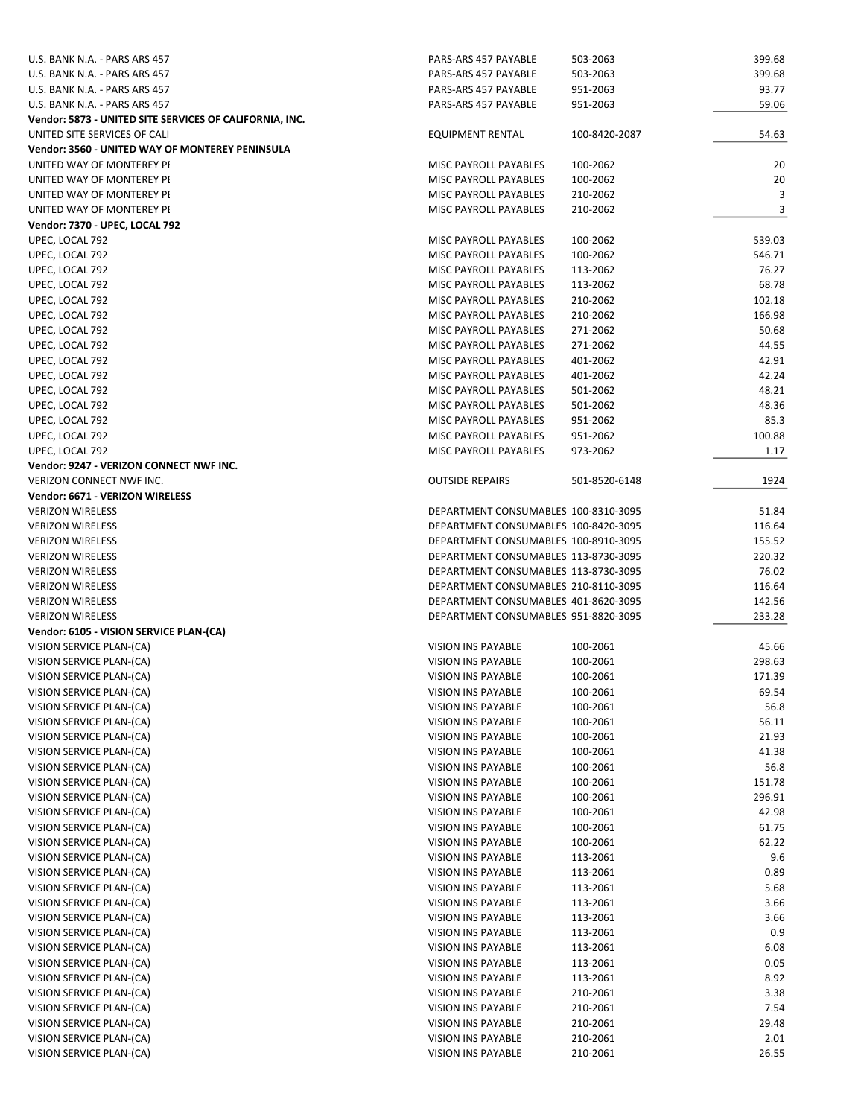| U.S. BANK N.A. - PARS ARS 457                           | PARS-ARS 457 PAYABLE                           | 503-2063      | 399.68 |
|---------------------------------------------------------|------------------------------------------------|---------------|--------|
| U.S. BANK N.A. - PARS ARS 457                           | PARS-ARS 457 PAYABLE                           | 503-2063      | 399.68 |
| U.S. BANK N.A. - PARS ARS 457                           | PARS-ARS 457 PAYABLE                           | 951-2063      | 93.77  |
| U.S. BANK N.A. - PARS ARS 457                           | PARS-ARS 457 PAYABLE                           | 951-2063      | 59.06  |
| Vendor: 5873 - UNITED SITE SERVICES OF CALIFORNIA, INC. |                                                |               |        |
| UNITED SITE SERVICES OF CALI                            | <b>EQUIPMENT RENTAL</b>                        | 100-8420-2087 | 54.63  |
| Vendor: 3560 - UNITED WAY OF MONTEREY PENINSULA         |                                                |               |        |
| UNITED WAY OF MONTEREY PI                               | MISC PAYROLL PAYABLES                          | 100-2062      | 20     |
| UNITED WAY OF MONTEREY PI                               | MISC PAYROLL PAYABLES                          | 100-2062      | 20     |
| UNITED WAY OF MONTEREY PI                               | MISC PAYROLL PAYABLES                          | 210-2062      | 3      |
| UNITED WAY OF MONTEREY PI                               | <b>MISC PAYROLL PAYABLES</b>                   | 210-2062      | 3      |
| Vendor: 7370 - UPEC, LOCAL 792                          |                                                |               |        |
| UPEC, LOCAL 792                                         | MISC PAYROLL PAYABLES                          | 100-2062      | 539.03 |
| UPEC, LOCAL 792                                         | MISC PAYROLL PAYABLES                          | 100-2062      | 546.71 |
| UPEC, LOCAL 792                                         | MISC PAYROLL PAYABLES                          | 113-2062      | 76.27  |
| UPEC, LOCAL 792                                         | MISC PAYROLL PAYABLES                          | 113-2062      | 68.78  |
| UPEC, LOCAL 792                                         | MISC PAYROLL PAYABLES                          | 210-2062      | 102.18 |
| UPEC, LOCAL 792                                         | MISC PAYROLL PAYABLES                          | 210-2062      | 166.98 |
| UPEC, LOCAL 792                                         | MISC PAYROLL PAYABLES                          | 271-2062      | 50.68  |
| UPEC, LOCAL 792                                         | MISC PAYROLL PAYABLES                          | 271-2062      | 44.55  |
| UPEC, LOCAL 792                                         | MISC PAYROLL PAYABLES                          | 401-2062      | 42.91  |
| UPEC, LOCAL 792                                         | MISC PAYROLL PAYABLES                          | 401-2062      | 42.24  |
| UPEC, LOCAL 792                                         | <b>MISC PAYROLL PAYABLES</b>                   | 501-2062      | 48.21  |
| UPEC, LOCAL 792                                         | MISC PAYROLL PAYABLES                          | 501-2062      | 48.36  |
|                                                         |                                                | 951-2062      | 85.3   |
| UPEC, LOCAL 792                                         | MISC PAYROLL PAYABLES<br>MISC PAYROLL PAYABLES |               |        |
| UPEC, LOCAL 792                                         |                                                | 951-2062      | 100.88 |
| UPEC, LOCAL 792                                         | MISC PAYROLL PAYABLES                          | 973-2062      | 1.17   |
| Vendor: 9247 - VERIZON CONNECT NWF INC.                 |                                                |               |        |
| VERIZON CONNECT NWF INC.                                | <b>OUTSIDE REPAIRS</b>                         | 501-8520-6148 | 1924   |
| Vendor: 6671 - VERIZON WIRELESS                         |                                                |               |        |
| <b>VERIZON WIRELESS</b>                                 | DEPARTMENT CONSUMABLES 100-8310-3095           |               | 51.84  |
| <b>VERIZON WIRELESS</b>                                 | DEPARTMENT CONSUMABLES 100-8420-3095           |               | 116.64 |
| <b>VERIZON WIRELESS</b>                                 | DEPARTMENT CONSUMABLES 100-8910-3095           |               | 155.52 |
| <b>VERIZON WIRELESS</b>                                 | DEPARTMENT CONSUMABLES 113-8730-3095           |               | 220.32 |
| <b>VERIZON WIRELESS</b>                                 | DEPARTMENT CONSUMABLES 113-8730-3095           |               | 76.02  |
| <b>VERIZON WIRELESS</b>                                 | DEPARTMENT CONSUMABLES 210-8110-3095           |               | 116.64 |
| <b>VERIZON WIRELESS</b>                                 | DEPARTMENT CONSUMABLES 401-8620-3095           |               | 142.56 |
| <b>VERIZON WIRELESS</b>                                 | DEPARTMENT CONSUMABLES 951-8820-3095           |               | 233.28 |
| Vendor: 6105 - VISION SERVICE PLAN-(CA)                 |                                                |               |        |
| VISION SERVICE PLAN-(CA)                                | VISION INS PAYABLE                             | 100-2061      | 45.66  |
| VISION SERVICE PLAN-(CA)                                | VISION INS PAYABLE                             | 100-2061      | 298.63 |
| VISION SERVICE PLAN-(CA)                                | VISION INS PAYABLE                             | 100-2061      | 171.39 |
| VISION SERVICE PLAN-(CA)                                | VISION INS PAYABLE                             | 100-2061      | 69.54  |
| VISION SERVICE PLAN-(CA)                                | VISION INS PAYABLE                             | 100-2061      | 56.8   |
| VISION SERVICE PLAN-(CA)                                | VISION INS PAYABLE                             | 100-2061      | 56.11  |
| VISION SERVICE PLAN-(CA)                                | VISION INS PAYABLE                             | 100-2061      | 21.93  |
| VISION SERVICE PLAN-(CA)                                | VISION INS PAYABLE                             | 100-2061      | 41.38  |
| VISION SERVICE PLAN-(CA)                                | VISION INS PAYABLE                             | 100-2061      | 56.8   |
| VISION SERVICE PLAN-(CA)                                | VISION INS PAYABLE                             | 100-2061      | 151.78 |
| VISION SERVICE PLAN-(CA)                                | VISION INS PAYABLE                             | 100-2061      | 296.91 |
| VISION SERVICE PLAN-(CA)                                | VISION INS PAYABLE                             | 100-2061      | 42.98  |
| VISION SERVICE PLAN-(CA)                                | VISION INS PAYABLE                             | 100-2061      | 61.75  |
| VISION SERVICE PLAN-(CA)                                | VISION INS PAYABLE                             | 100-2061      | 62.22  |
| VISION SERVICE PLAN-(CA)                                | VISION INS PAYABLE                             | 113-2061      | 9.6    |
| VISION SERVICE PLAN-(CA)                                | VISION INS PAYABLE                             | 113-2061      | 0.89   |
| VISION SERVICE PLAN-(CA)                                | VISION INS PAYABLE                             | 113-2061      | 5.68   |
| VISION SERVICE PLAN-(CA)                                | VISION INS PAYABLE                             | 113-2061      | 3.66   |
| VISION SERVICE PLAN-(CA)                                | VISION INS PAYABLE                             | 113-2061      | 3.66   |
| VISION SERVICE PLAN-(CA)                                | VISION INS PAYABLE                             | 113-2061      | 0.9    |
| VISION SERVICE PLAN-(CA)                                | VISION INS PAYABLE                             | 113-2061      | 6.08   |
| VISION SERVICE PLAN-(CA)                                | VISION INS PAYABLE                             | 113-2061      | 0.05   |
| VISION SERVICE PLAN-(CA)                                | VISION INS PAYABLE                             | 113-2061      | 8.92   |
| VISION SERVICE PLAN-(CA)                                | VISION INS PAYABLE                             | 210-2061      | 3.38   |
| VISION SERVICE PLAN-(CA)                                | VISION INS PAYABLE                             | 210-2061      | 7.54   |
| VISION SERVICE PLAN-(CA)                                | VISION INS PAYABLE                             | 210-2061      | 29.48  |
| VISION SERVICE PLAN-(CA)                                | VISION INS PAYABLE                             | 210-2061      | 2.01   |
| VISION SERVICE PLAN-(CA)                                | VISION INS PAYABLE                             | 210-2061      | 26.55  |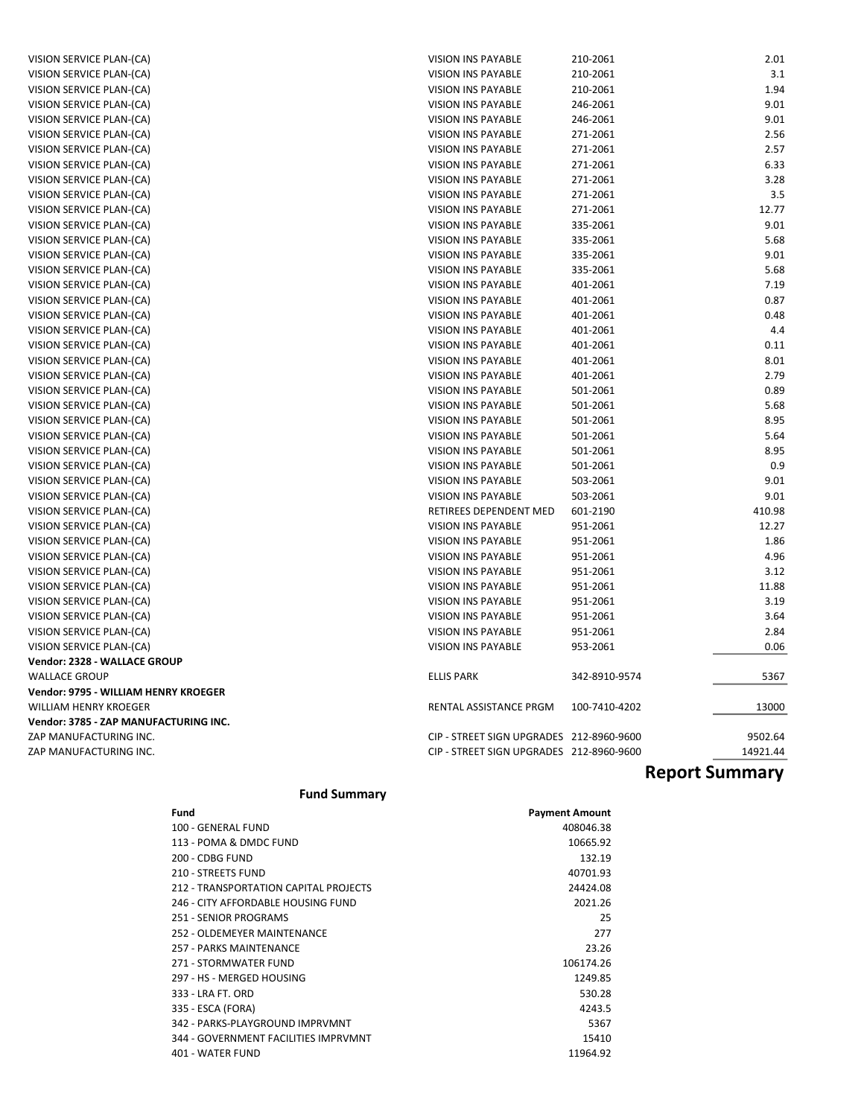| VISION SERVICE PLAN-(CA)              | VISION INS PAYABLE                       | 210-2061      | 2.01     |
|---------------------------------------|------------------------------------------|---------------|----------|
| VISION SERVICE PLAN-(CA)              | <b>VISION INS PAYABLE</b>                | 210-2061      | 3.1      |
| VISION SERVICE PLAN-(CA)              | <b>VISION INS PAYABLE</b>                | 210-2061      | 1.94     |
| VISION SERVICE PLAN-(CA)              | <b>VISION INS PAYABLE</b>                | 246-2061      | 9.01     |
| VISION SERVICE PLAN-(CA)              | <b>VISION INS PAYABLE</b>                | 246-2061      | 9.01     |
| VISION SERVICE PLAN-(CA)              | VISION INS PAYABLE                       | 271-2061      | 2.56     |
| VISION SERVICE PLAN-(CA)              | VISION INS PAYABLE                       | 271-2061      | 2.57     |
| VISION SERVICE PLAN-(CA)              | <b>VISION INS PAYABLE</b>                | 271-2061      | 6.33     |
| VISION SERVICE PLAN-(CA)              | <b>VISION INS PAYABLE</b>                | 271-2061      | 3.28     |
| VISION SERVICE PLAN-(CA)              | <b>VISION INS PAYABLE</b>                | 271-2061      | 3.5      |
| VISION SERVICE PLAN-(CA)              | <b>VISION INS PAYABLE</b>                | 271-2061      | 12.77    |
| VISION SERVICE PLAN-(CA)              | <b>VISION INS PAYABLE</b>                | 335-2061      | 9.01     |
| VISION SERVICE PLAN-(CA)              | <b>VISION INS PAYABLE</b>                | 335-2061      | 5.68     |
| VISION SERVICE PLAN-(CA)              | <b>VISION INS PAYABLE</b>                | 335-2061      | 9.01     |
| VISION SERVICE PLAN-(CA)              | VISION INS PAYABLE                       | 335-2061      | 5.68     |
| VISION SERVICE PLAN-(CA)              | VISION INS PAYABLE                       | 401-2061      | 7.19     |
| VISION SERVICE PLAN-(CA)              | <b>VISION INS PAYABLE</b>                | 401-2061      | 0.87     |
| VISION SERVICE PLAN-(CA)              | VISION INS PAYABLE                       | 401-2061      | 0.48     |
| VISION SERVICE PLAN-(CA)              | <b>VISION INS PAYABLE</b>                | 401-2061      | 4.4      |
| VISION SERVICE PLAN-(CA)              | <b>VISION INS PAYABLE</b>                | 401-2061      | 0.11     |
| VISION SERVICE PLAN-(CA)              | <b>VISION INS PAYABLE</b>                | 401-2061      | 8.01     |
| VISION SERVICE PLAN-(CA)              | <b>VISION INS PAYABLE</b>                | 401-2061      | 2.79     |
| VISION SERVICE PLAN-(CA)              | <b>VISION INS PAYABLE</b>                | 501-2061      | 0.89     |
| VISION SERVICE PLAN-(CA)              | VISION INS PAYABLE                       | 501-2061      | 5.68     |
| VISION SERVICE PLAN-(CA)              | <b>VISION INS PAYABLE</b>                | 501-2061      | 8.95     |
| VISION SERVICE PLAN-(CA)              | VISION INS PAYABLE                       | 501-2061      | 5.64     |
| VISION SERVICE PLAN-(CA)              | <b>VISION INS PAYABLE</b>                | 501-2061      | 8.95     |
| VISION SERVICE PLAN-(CA)              | VISION INS PAYABLE                       | 501-2061      | 0.9      |
| VISION SERVICE PLAN-(CA)              | <b>VISION INS PAYABLE</b>                | 503-2061      | 9.01     |
| VISION SERVICE PLAN-(CA)              | <b>VISION INS PAYABLE</b>                | 503-2061      | 9.01     |
| VISION SERVICE PLAN-(CA)              | RETIREES DEPENDENT MED                   | 601-2190      | 410.98   |
| VISION SERVICE PLAN-(CA)              | <b>VISION INS PAYABLE</b>                | 951-2061      | 12.27    |
| VISION SERVICE PLAN-(CA)              | VISION INS PAYABLE                       | 951-2061      | 1.86     |
| VISION SERVICE PLAN-(CA)              | <b>VISION INS PAYABLE</b>                | 951-2061      | 4.96     |
| VISION SERVICE PLAN-(CA)              | VISION INS PAYABLE                       | 951-2061      | 3.12     |
| VISION SERVICE PLAN-(CA)              | VISION INS PAYABLE                       | 951-2061      | 11.88    |
| VISION SERVICE PLAN-(CA)              | VISION INS PAYABLE                       | 951-2061      | 3.19     |
| VISION SERVICE PLAN-(CA)              | <b>VISION INS PAYABLE</b>                | 951-2061      | 3.64     |
| VISION SERVICE PLAN-(CA)              | <b>VISION INS PAYABLE</b>                | 951-2061      | 2.84     |
| VISION SERVICE PLAN-(CA)              | <b>VISION INS PAYABLE</b>                | 953-2061      | 0.06     |
| Vendor: 2328 - WALLACE GROUP          |                                          |               |          |
| <b>WALLACE GROUP</b>                  | <b>ELLIS PARK</b>                        | 342-8910-9574 | 5367     |
| Vendor: 9795 - WILLIAM HENRY KROEGER  |                                          |               |          |
| WILLIAM HENRY KROEGER                 | RENTAL ASSISTANCE PRGM                   | 100-7410-4202 | 13000    |
| Vendor: 3785 - ZAP MANUFACTURING INC. |                                          |               |          |
| ZAP MANUFACTURING INC.                | CIP - STREET SIGN UPGRADES 212-8960-9600 |               | 9502.64  |
| ZAP MANUFACTURING INC.                | CIP - STREET SIGN UPGRADES 212-8960-9600 |               | 14921.44 |
|                                       |                                          |               |          |

# Report Summary

#### Fund Summary

| Fund                                  | <b>Payment Amount</b> |
|---------------------------------------|-----------------------|
| 100 - GENERAL FUND                    | 408046.38             |
| 113 - POMA & DMDC FUND                | 10665.92              |
| 200 - CDBG FUND                       | 132.19                |
| 210 - STREETS FUND                    | 40701.93              |
| 212 - TRANSPORTATION CAPITAL PROJECTS | 24424.08              |
| 246 - CITY AFFORDABLE HOUSING FUND    | 2021.26               |
| 251 - SENIOR PROGRAMS                 | 25                    |
| 252 - OLDEMEYER MAINTENANCE           | 277                   |
| 257 - PARKS MAINTENANCE               | 23.26                 |
| 271 - STORMWATER FUND                 | 106174.26             |
| 297 - HS - MERGED HOUSING             | 1249.85               |
| 333 - LRA FT, ORD                     | 530.28                |
| 335 - ESCA (FORA)                     | 4243.5                |
| 342 - PARKS-PLAYGROUND IMPRVMNT       | 5367                  |
| 344 - GOVERNMENT FACILITIES IMPRVMNT  | 15410                 |
| 401 - WATER FUND                      | 11964.92              |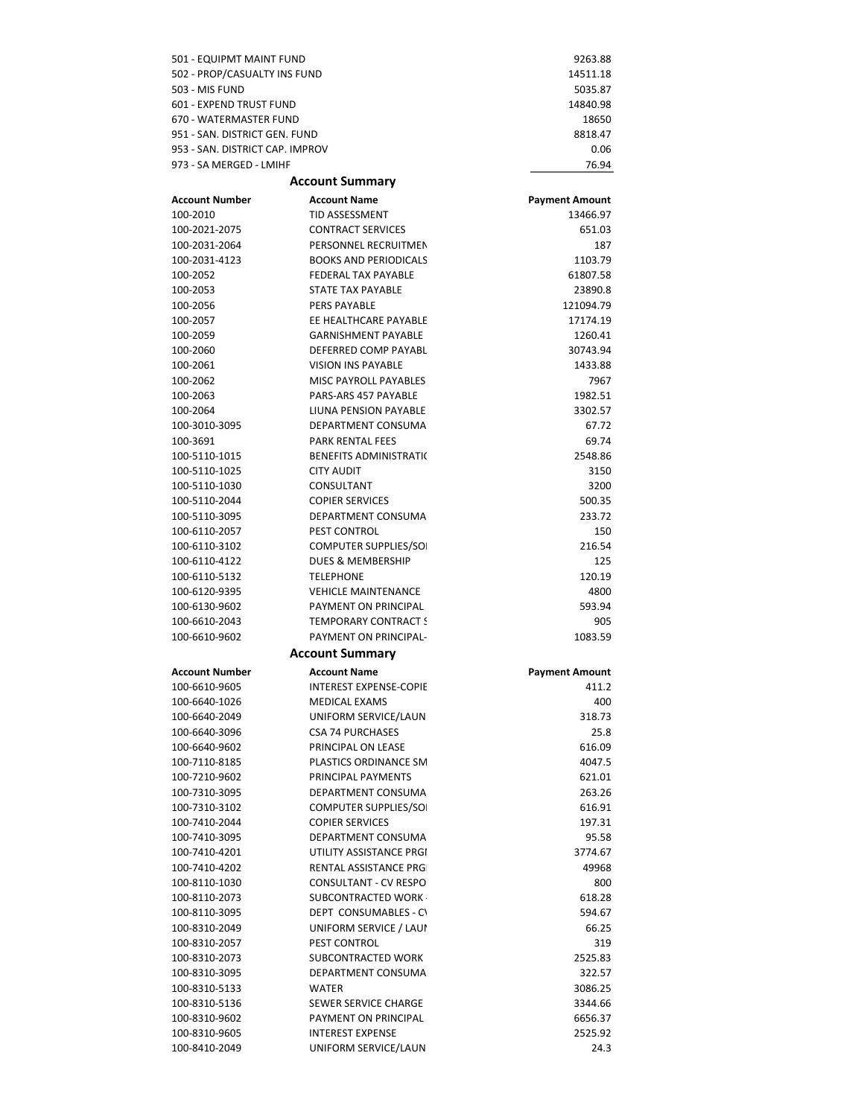| 501 - EQUIPMT MAINT FUND                                   |                                                      | 9263.88                           |
|------------------------------------------------------------|------------------------------------------------------|-----------------------------------|
| 502 - PROP/CASUALTY INS FUND                               |                                                      | 14511.18                          |
| <b>503 - MIS FUND</b>                                      |                                                      | 5035.87                           |
| 601 - EXPEND TRUST FUND                                    |                                                      | 14840.98                          |
| 670 - WATERMASTER FUND                                     |                                                      | 18650                             |
| 951 - SAN, DISTRICT GEN, FUND                              |                                                      | 8818.47                           |
| 953 - SAN, DISTRICT CAP, IMPROV<br>973 - SA MERGED - LMIHF |                                                      | 0.06<br>76.94                     |
|                                                            | <b>Account Summary</b>                               |                                   |
| <b>Account Number</b>                                      | <b>Account Name</b>                                  |                                   |
| 100-2010                                                   | <b>TID ASSESSMENT</b>                                | <b>Payment Amount</b><br>13466.97 |
| 100-2021-2075                                              | <b>CONTRACT SERVICES</b>                             | 651.03                            |
| 100-2031-2064                                              | PERSONNEL RECRUITMEN                                 | 187                               |
| 100-2031-4123                                              | <b>BOOKS AND PERIODICALS</b>                         | 1103.79                           |
| 100-2052                                                   | <b>FEDERAL TAX PAYABLE</b>                           | 61807.58                          |
| 100-2053                                                   | STATE TAX PAYABLE                                    | 23890.8                           |
| 100-2056                                                   | PERS PAYABLE                                         | 121094.79                         |
| 100-2057                                                   | EE HEALTHCARE PAYABLE                                | 17174.19                          |
| 100-2059                                                   | <b>GARNISHMENT PAYABLE</b>                           | 1260.41                           |
| 100-2060                                                   | DEFERRED COMP PAYABL                                 | 30743.94                          |
| 100-2061                                                   | <b>VISION INS PAYABLE</b>                            | 1433.88                           |
| 100-2062                                                   | <b>MISC PAYROLL PAYABLES</b><br>PARS-ARS 457 PAYABLE | 7967                              |
| 100-2063<br>100-2064                                       | LIUNA PENSION PAYABLE                                | 1982.51<br>3302.57                |
| 100-3010-3095                                              | DEPARTMENT CONSUMA                                   | 67.72                             |
| 100-3691                                                   | <b>PARK RENTAL FEES</b>                              | 69.74                             |
| 100-5110-1015                                              | <b>BENEFITS ADMINISTRATI(</b>                        | 2548.86                           |
| 100-5110-1025                                              | <b>CITY AUDIT</b>                                    | 3150                              |
| 100-5110-1030                                              | CONSULTANT                                           | 3200                              |
| 100-5110-2044                                              | <b>COPIER SERVICES</b>                               | 500.35                            |
| 100-5110-3095                                              | DEPARTMENT CONSUMA                                   | 233.72                            |
| 100-6110-2057                                              | <b>PEST CONTROL</b>                                  | 150                               |
| 100-6110-3102                                              | <b>COMPUTER SUPPLIES/SO</b>                          | 216.54                            |
| 100-6110-4122                                              | <b>DUES &amp; MEMBERSHIP</b>                         | 125                               |
| 100-6110-5132                                              | <b>TELEPHONE</b>                                     | 120.19                            |
| 100-6120-9395                                              | <b>VEHICLE MAINTENANCE</b>                           | 4800                              |
| 100-6130-9602<br>100-6610-2043                             | PAYMENT ON PRINCIPAL<br><b>TEMPORARY CONTRACT S</b>  | 593.94<br>905                     |
| 100-6610-9602                                              | PAYMENT ON PRINCIPAL-                                | 1083.59                           |
|                                                            | <b>Account Summary</b>                               |                                   |
| <b>Account Number</b>                                      | <b>Account Name</b>                                  | <b>Payment Amount</b>             |
| 100-6610-9605                                              | <b>INTEREST EXPENSE-COPIE</b>                        | 411.2                             |
| 100-6640-1026                                              | <b>MEDICAL EXAMS</b>                                 | 400                               |
| 100-6640-2049                                              | UNIFORM SERVICE/LAUN                                 | 318.73                            |
| 100-6640-3096                                              | <b>CSA 74 PURCHASES</b>                              | 25.8                              |
| 100-6640-9602                                              | PRINCIPAL ON LEASE                                   | 616.09                            |
| 100-7110-8185                                              | PLASTICS ORDINANCE SM                                | 4047.5                            |
| 100-7210-9602                                              | PRINCIPAL PAYMENTS                                   | 621.01                            |
| 100-7310-3095                                              | DEPARTMENT CONSUMA                                   | 263.26                            |
| 100-7310-3102                                              | <b>COMPUTER SUPPLIES/SO</b>                          | 616.91                            |
| 100-7410-2044                                              | <b>COPIER SERVICES</b>                               | 197.31                            |
| 100-7410-3095<br>100-7410-4201                             | DEPARTMENT CONSUMA<br>UTILITY ASSISTANCE PRGI        | 95.58<br>3774.67                  |
| 100-7410-4202                                              | <b>RENTAL ASSISTANCE PRG</b>                         | 49968                             |
| 100-8110-1030                                              | CONSULTANT - CV RESPO                                | 800                               |
| 100-8110-2073                                              | SUBCONTRACTED WORK                                   | 618.28                            |
| 100-8110-3095                                              | DEPT CONSUMABLES - CV                                | 594.67                            |
| 100-8310-2049                                              | UNIFORM SERVICE / LAUI                               | 66.25                             |
| 100-8310-2057                                              | PEST CONTROL                                         | 319                               |
| 100-8310-2073                                              | SUBCONTRACTED WORK                                   | 2525.83                           |
| 100-8310-3095                                              | DEPARTMENT CONSUMA                                   | 322.57                            |
| 100-8310-5133                                              | <b>WATER</b>                                         | 3086.25                           |
| 100-8310-5136                                              | SEWER SERVICE CHARGE                                 | 3344.66                           |
| 100-8310-9602                                              | PAYMENT ON PRINCIPAL                                 | 6656.37                           |
| 100-8310-9605<br>100-8410-2049                             | <b>INTEREST EXPENSE</b><br>UNIFORM SERVICE/LAUN      | 2525.92<br>24.3                   |
|                                                            |                                                      |                                   |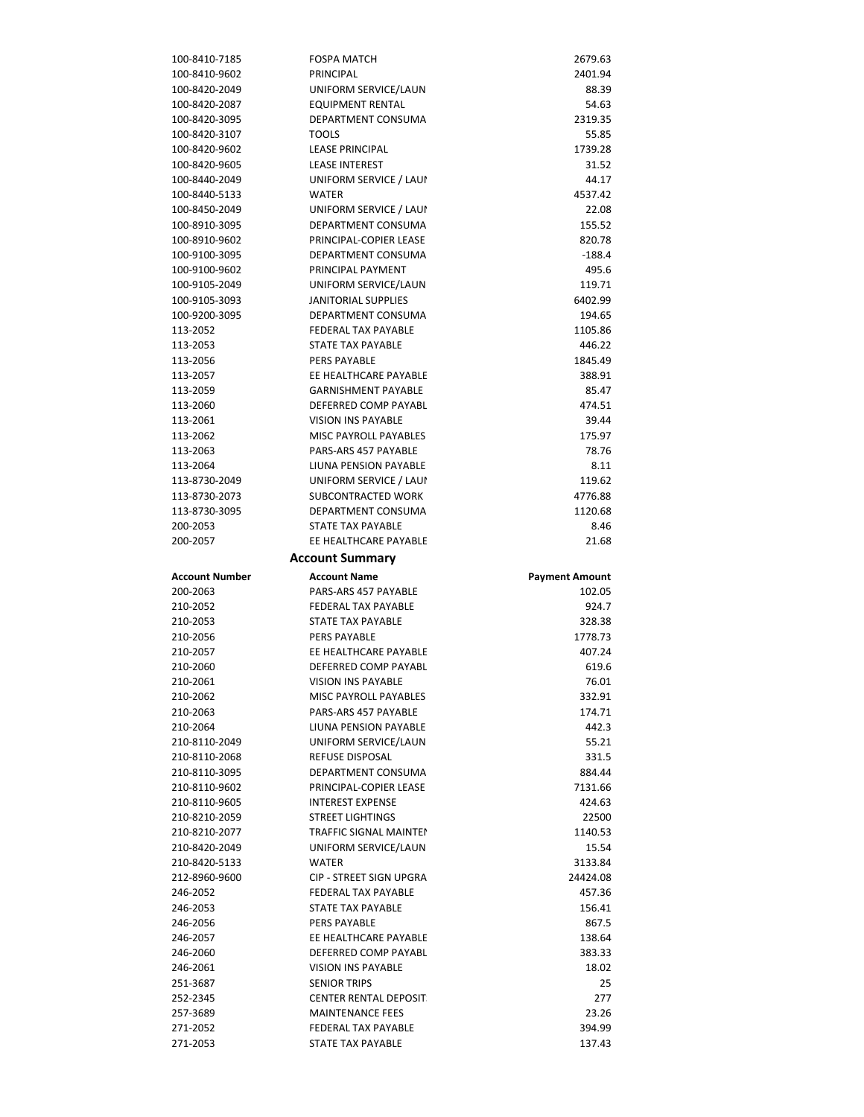| 100-8410-7185         | <b>FOSPA MATCH</b>                              | 2679.63               |
|-----------------------|-------------------------------------------------|-----------------------|
| 100-8410-9602         | PRINCIPAL                                       | 2401.94               |
| 100-8420-2049         | UNIFORM SERVICE/LAUN                            | 88.39                 |
| 100-8420-2087         | <b>EQUIPMENT RENTAL</b>                         | 54.63                 |
| 100-8420-3095         | DEPARTMENT CONSUMA                              | 2319.35               |
| 100-8420-3107         | <b>TOOLS</b>                                    | 55.85                 |
| 100-8420-9602         | <b>LEASE PRINCIPAL</b>                          | 1739.28               |
| 100-8420-9605         | <b>LEASE INTEREST</b>                           | 31.52                 |
| 100-8440-2049         | UNIFORM SERVICE / LAUI                          | 44.17                 |
| 100-8440-5133         | <b>WATER</b>                                    | 4537.42               |
| 100-8450-2049         | UNIFORM SERVICE / LAUI                          | 22.08                 |
| 100-8910-3095         | DEPARTMENT CONSUMA                              | 155.52                |
| 100-8910-9602         | PRINCIPAL-COPIER LEASE                          | 820.78                |
| 100-9100-3095         | DEPARTMENT CONSUMA                              | $-188.4$              |
| 100-9100-9602         | PRINCIPAL PAYMENT                               | 495.6                 |
| 100-9105-2049         | UNIFORM SERVICE/LAUN                            | 119.71                |
| 100-9105-3093         | JANITORIAL SUPPLIES                             | 6402.99               |
| 100-9200-3095         | DEPARTMENT CONSUMA                              | 194.65                |
| 113-2052              | <b>FEDERAL TAX PAYABLE</b>                      | 1105.86               |
| 113-2053              | STATE TAX PAYABLE<br>PERS PAYABLE               | 446.22                |
| 113-2056              | EE HEALTHCARE PAYABLE                           | 1845.49               |
| 113-2057              | <b>GARNISHMENT PAYABLE</b>                      | 388.91<br>85.47       |
| 113-2059<br>113-2060  | DEFERRED COMP PAYABL                            | 474.51                |
| 113-2061              | <b>VISION INS PAYABLE</b>                       | 39.44                 |
| 113-2062              | <b>MISC PAYROLL PAYABLES</b>                    | 175.97                |
| 113-2063              | PARS-ARS 457 PAYABLE                            | 78.76                 |
| 113-2064              | LIUNA PENSION PAYABLE                           | 8.11                  |
| 113-8730-2049         | UNIFORM SERVICE / LAUI                          | 119.62                |
| 113-8730-2073         | SUBCONTRACTED WORK                              | 4776.88               |
| 113-8730-3095         | DEPARTMENT CONSUMA                              | 1120.68               |
| 200-2053              | STATE TAX PAYABLE                               | 8.46                  |
| 200-2057              | EE HEALTHCARE PAYABLE                           | 21.68                 |
|                       |                                                 |                       |
|                       |                                                 |                       |
|                       | <b>Account Summary</b>                          |                       |
| <b>Account Number</b> | <b>Account Name</b>                             | <b>Payment Amount</b> |
| 200-2063              | PARS-ARS 457 PAYABLE                            | 102.05                |
| 210-2052              | FEDERAL TAX PAYABLE                             | 924.7                 |
| 210-2053              | STATE TAX PAYABLE                               | 328.38                |
| 210-2056              | PERS PAYABLE                                    | 1778.73               |
| 210-2057<br>210-2060  | EE HEALTHCARE PAYABLE<br>DEFERRED COMP PAYABL   | 407.24                |
| 210-2061              | VISION INS PAYABLE                              | 619.6<br>76.01        |
| 210-2062              | <b>MISC PAYROLL PAYABLES</b>                    | 332.91                |
| 210-2063              | PARS-ARS 457 PAYABLE                            | 174.71                |
| 210-2064              | LIUNA PENSION PAYABLE                           | 442.3                 |
| 210-8110-2049         | UNIFORM SERVICE/LAUN                            | 55.21                 |
| 210-8110-2068         | REFUSE DISPOSAL                                 | 331.5                 |
| 210-8110-3095         | DEPARTMENT CONSUMA                              | 884.44                |
| 210-8110-9602         | PRINCIPAL-COPIER LEASE                          | 7131.66               |
| 210-8110-9605         | <b>INTEREST EXPENSE</b>                         | 424.63                |
| 210-8210-2059         | <b>STREET LIGHTINGS</b>                         | 22500                 |
| 210-8210-2077         | TRAFFIC SIGNAL MAINTEI                          | 1140.53               |
| 210-8420-2049         | UNIFORM SERVICE/LAUN                            | 15.54                 |
| 210-8420-5133         | <b>WATER</b>                                    | 3133.84               |
| 212-8960-9600         | <b>CIP - STREET SIGN UPGRA</b>                  | 24424.08              |
| 246-2052              | <b>FEDERAL TAX PAYABLE</b>                      | 457.36                |
| 246-2053              | STATE TAX PAYABLE                               | 156.41                |
| 246-2056              | <b>PERS PAYABLE</b>                             | 867.5                 |
| 246-2057              | EE HEALTHCARE PAYABLE                           | 138.64                |
| 246-2060              | DEFERRED COMP PAYABL                            | 383.33                |
| 246-2061              | <b>VISION INS PAYABLE</b>                       | 18.02                 |
| 251-3687              | <b>SENIOR TRIPS</b>                             | 25                    |
| 252-2345              | <b>CENTER RENTAL DEPOSIT</b>                    | 277                   |
| 257-3689              | <b>MAINTENANCE FEES</b>                         | 23.26                 |
| 271-2052<br>271-2053  | <b>FEDERAL TAX PAYABLE</b><br>STATE TAX PAYABLE | 394.99<br>137.43      |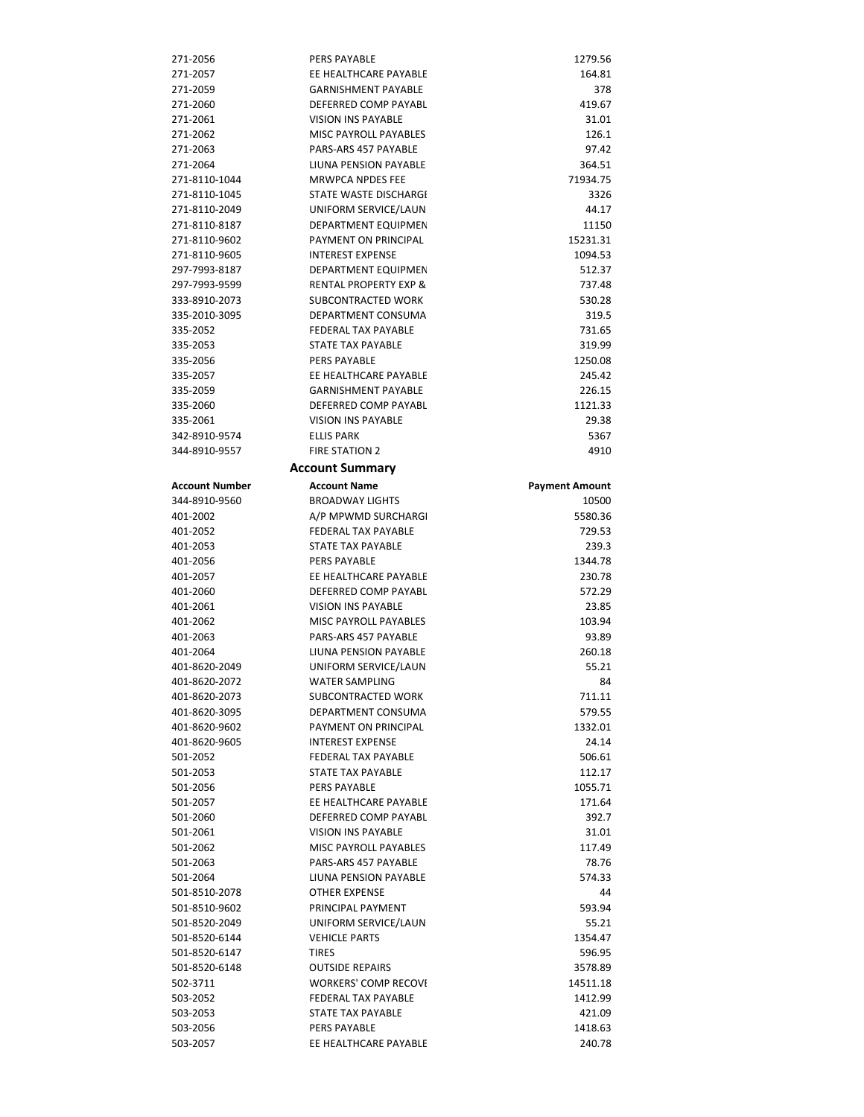| 271-2056                       | <b>PERS PAYABLE</b>                                   | 1279.56               |
|--------------------------------|-------------------------------------------------------|-----------------------|
| 271-2057                       | EE HEALTHCARE PAYABLE                                 | 164.81                |
| 271-2059                       | <b>GARNISHMENT PAYABLE</b>                            | 378                   |
| 271-2060                       | DEFERRED COMP PAYABL                                  | 419.67                |
| 271-2061                       | <b>VISION INS PAYABLE</b>                             | 31.01                 |
| 271-2062                       | <b>MISC PAYROLL PAYABLES</b>                          | 126.1                 |
| 271-2063                       | PARS-ARS 457 PAYABLE                                  | 97.42                 |
| 271-2064                       | LIUNA PENSION PAYABLE                                 | 364.51                |
| 271-8110-1044                  | <b>MRWPCA NPDES FEE</b>                               | 71934.75              |
| 271-8110-1045                  | STATE WASTE DISCHARGI                                 | 3326                  |
| 271-8110-2049                  | UNIFORM SERVICE/LAUN                                  | 44.17                 |
| 271-8110-8187                  | DEPARTMENT EQUIPMEN                                   | 11150                 |
| 271-8110-9602<br>271-8110-9605 | PAYMENT ON PRINCIPAL<br><b>INTEREST EXPENSE</b>       | 15231.31<br>1094.53   |
| 297-7993-8187                  | DEPARTMENT EQUIPMEN                                   | 512.37                |
| 297-7993-9599                  | <b>RENTAL PROPERTY EXP &amp;</b>                      | 737.48                |
| 333-8910-2073                  | <b>SUBCONTRACTED WORK</b>                             | 530.28                |
| 335-2010-3095                  | DEPARTMENT CONSUMA                                    | 319.5                 |
| 335-2052                       | <b>FEDERAL TAX PAYABLE</b>                            | 731.65                |
| 335-2053                       | STATE TAX PAYABLE                                     | 319.99                |
| 335-2056                       | PERS PAYABLE                                          | 1250.08               |
| 335-2057                       | EE HEALTHCARE PAYABLE                                 | 245.42                |
| 335-2059                       | <b>GARNISHMENT PAYABLE</b>                            | 226.15                |
| 335-2060                       | DEFERRED COMP PAYABL                                  | 1121.33               |
| 335-2061                       | <b>VISION INS PAYABLE</b>                             | 29.38                 |
| 342-8910-9574                  | <b>ELLIS PARK</b>                                     | 5367                  |
| 344-8910-9557                  | <b>FIRE STATION 2</b>                                 | 4910                  |
|                                | <b>Account Summary</b>                                |                       |
| <b>Account Number</b>          | <b>Account Name</b>                                   | <b>Payment Amount</b> |
| 344-8910-9560                  | <b>BROADWAY LIGHTS</b>                                | 10500                 |
| 401-2002                       | A/P MPWMD SURCHARGI                                   | 5580.36               |
| 401-2052                       | <b>FEDERAL TAX PAYABLE</b>                            | 729.53                |
| 401-2053                       | STATE TAX PAYABLE                                     | 239.3                 |
| 401-2056                       | <b>PERS PAYABLE</b>                                   | 1344.78               |
| 401-2057                       | EE HEALTHCARE PAYABLE                                 | 230.78                |
| 401-2060                       | DEFERRED COMP PAYABL                                  | 572.29                |
| 401-2061                       | <b>VISION INS PAYABLE</b>                             | 23.85                 |
| 401-2062                       | MISC PAYROLL PAYABLES                                 | 103.94                |
| 401-2063                       | PARS-ARS 457 PAYABLE                                  | 93.89                 |
| 401-2064                       | <b>LIUNA PENSION PAYABLE</b><br>UNIFORM SERVICE/LAUN  | 260.18                |
| 401-8620-2049<br>401-8620-2072 |                                                       |                       |
|                                |                                                       | 55.21                 |
|                                | WATER SAMPLING                                        | 84                    |
| 401-8620-2073                  | SUBCONTRACTED WORK                                    | 711.11                |
| 401-8620-3095                  | DEPARTMENT CONSUMA                                    | 579.55                |
| 401-8620-9602                  | PAYMENT ON PRINCIPAL                                  | 1332.01               |
| 401-8620-9605<br>501-2052      | <b>INTEREST EXPENSE</b><br><b>FEDERAL TAX PAYABLE</b> | 24.14<br>506.61       |
| 501-2053                       | <b>STATE TAX PAYABLE</b>                              | 112.17                |
| 501-2056                       | PERS PAYABLE                                          | 1055.71               |
| 501-2057                       | EE HEALTHCARE PAYABLE                                 | 171.64                |
| 501-2060                       | DEFERRED COMP PAYABL                                  | 392.7                 |
| 501-2061                       | <b>VISION INS PAYABLE</b>                             | 31.01                 |
| 501-2062                       | <b>MISC PAYROLL PAYABLES</b>                          | 117.49                |
| 501-2063                       | PARS-ARS 457 PAYABLE                                  | 78.76                 |
| 501-2064                       | LIUNA PENSION PAYABLE                                 | 574.33                |
| 501-8510-2078                  | <b>OTHER EXPENSE</b>                                  | 44                    |
| 501-8510-9602                  | PRINCIPAL PAYMENT                                     | 593.94                |
| 501-8520-2049                  | UNIFORM SERVICE/LAUN                                  | 55.21                 |
| 501-8520-6144                  | <b>VEHICLE PARTS</b>                                  | 1354.47               |
| 501-8520-6147                  | <b>TIRES</b>                                          | 596.95                |
| 501-8520-6148                  | <b>OUTSIDE REPAIRS</b>                                | 3578.89               |
| 502-3711                       | <b>WORKERS' COMP RECOVI</b>                           | 14511.18              |
| 503-2052                       | <b>FEDERAL TAX PAYABLE</b>                            | 1412.99               |
| 503-2053<br>503-2056           | STATE TAX PAYABLE<br><b>PERS PAYABLE</b>              | 421.09<br>1418.63     |
| 503-2057                       | EE HEALTHCARE PAYABLE                                 | 240.78                |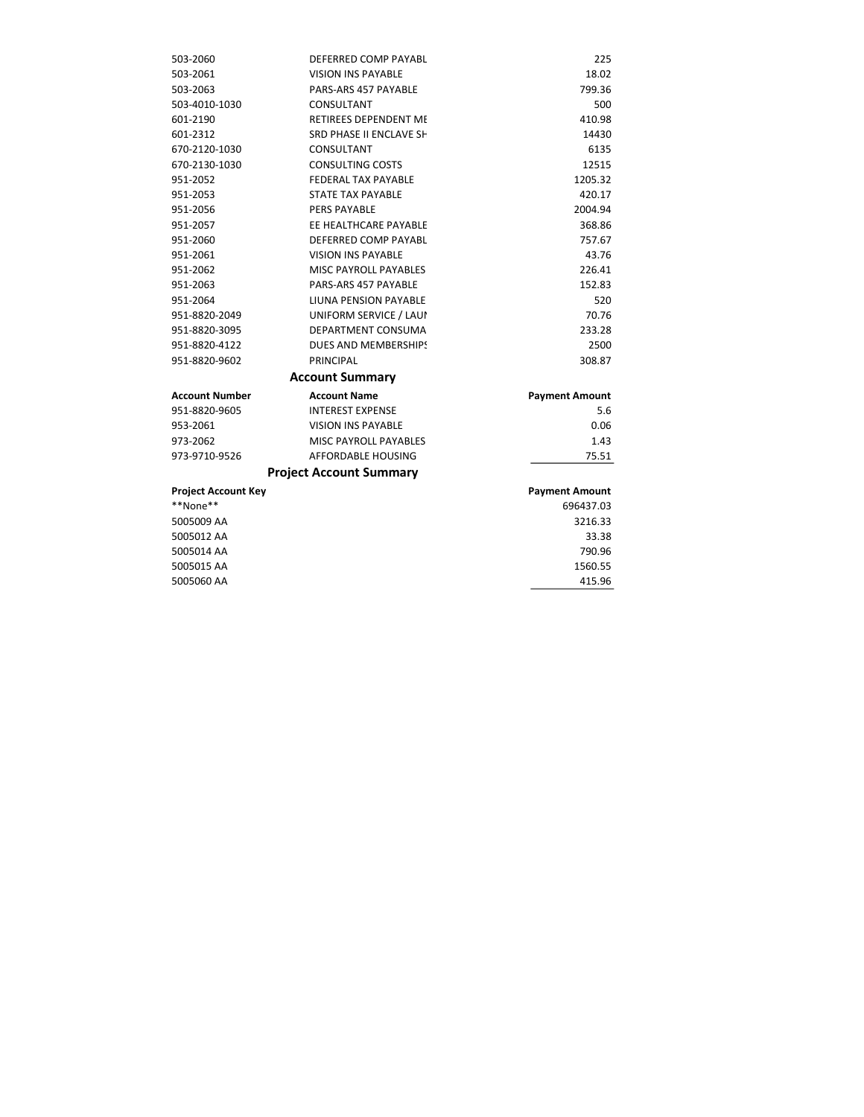| 503-2060                   | DEFERRED COMP PAYABL           | 225                   |
|----------------------------|--------------------------------|-----------------------|
| 503-2061                   | <b>VISION INS PAYABLE</b>      | 18.02                 |
| 503-2063                   | PARS-ARS 457 PAYABLE           | 799.36                |
| 503-4010-1030              | CONSULTANT                     | 500                   |
| 601-2190                   | RETIREES DEPENDENT ME          | 410.98                |
| 601-2312                   | SRD PHASE II ENCLAVE SH        | 14430                 |
| 670-2120-1030              | CONSULTANT                     | 6135                  |
| 670-2130-1030              | <b>CONSULTING COSTS</b>        | 12515                 |
| 951-2052                   | FEDERAL TAX PAYABLE            | 1205.32               |
| 951-2053                   | STATE TAX PAYABLE              | 420.17                |
| 951-2056                   | <b>PERS PAYABLE</b>            | 2004.94               |
| 951-2057                   | EE HEALTHCARE PAYABLE          | 368.86                |
| 951-2060                   | DEFERRED COMP PAYABL           | 757.67                |
| 951-2061                   | <b>VISION INS PAYABLE</b>      | 43.76                 |
| 951-2062                   | <b>MISC PAYROLL PAYABLES</b>   | 226.41                |
| 951-2063                   | PARS-ARS 457 PAYABLE           | 152.83                |
| 951-2064                   | LIUNA PENSION PAYABLE          | 520                   |
| 951-8820-2049              | UNIFORM SERVICE / LAUI         | 70.76                 |
| 951-8820-3095              | DEPARTMENT CONSUMA             | 233.28                |
| 951-8820-4122              | DUES AND MEMBERSHIPS           | 2500                  |
| 951-8820-9602              | PRINCIPAL                      | 308.87                |
|                            | <b>Account Summary</b>         |                       |
| <b>Account Number</b>      | <b>Account Name</b>            | <b>Payment Amount</b> |
| 951-8820-9605              | <b>INTEREST EXPENSE</b>        | 5.6                   |
| 953-2061                   | <b>VISION INS PAYABLE</b>      | 0.06                  |
| 973-2062                   | <b>MISC PAYROLL PAYABLES</b>   | 1.43                  |
| 973-9710-9526              | AFFORDABLE HOUSING             | 75.51                 |
|                            | <b>Project Account Summary</b> |                       |
| <b>Project Account Key</b> |                                | <b>Payment Amount</b> |
| **None**                   |                                | 696437.03             |
| 5005009 AA                 |                                | 3216.33               |
| 5005012 AA                 |                                | 33.38                 |
| 5005014 AA                 |                                | 790.96                |
| 5005015 AA                 |                                | 1560.55               |
| 5005060 AA                 |                                | 415.96                |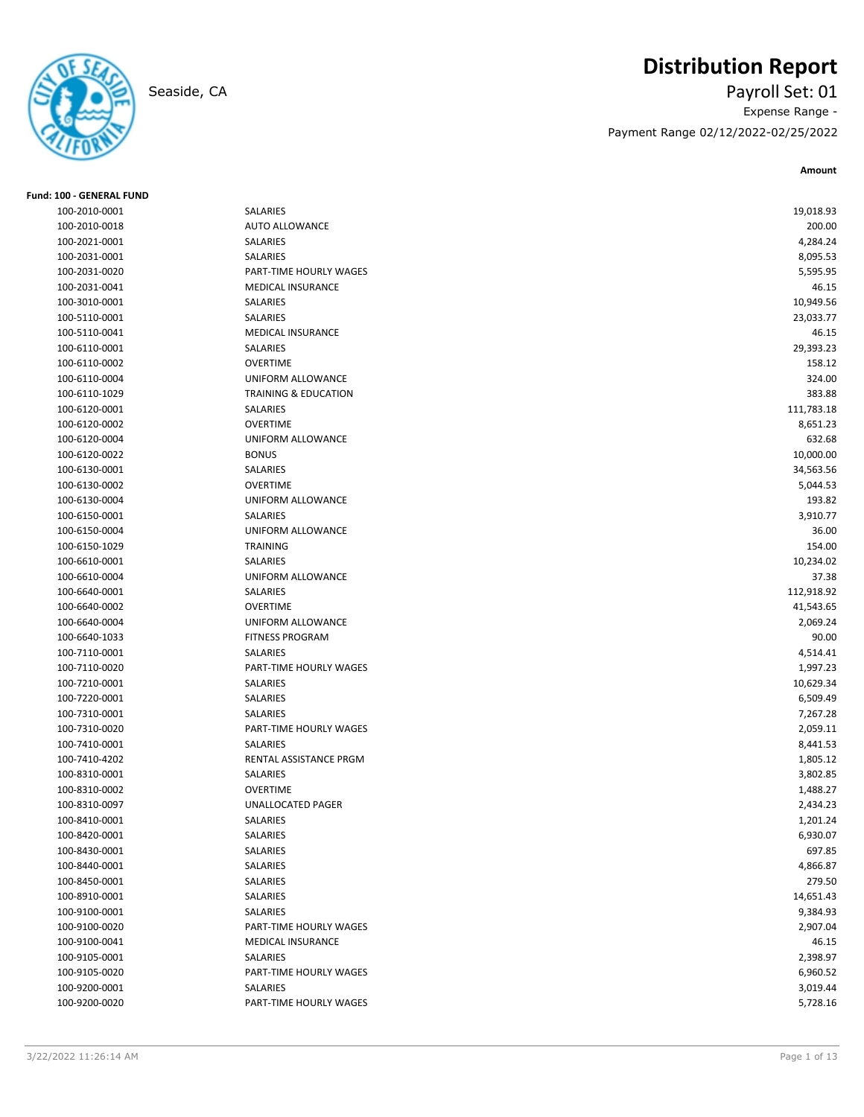

**Fund: 100 - GENERAL FUND**

# **Distribution Report**

Seaside, CA Payroll Set: 01 Expense Range - Payment Range 02/12/2022-02/25/2022

| 100-2010-0001                  | SALARIES                        | 19,018.93  |
|--------------------------------|---------------------------------|------------|
| 100-2010-0018                  | <b>AUTO ALLOWANCE</b>           | 200.00     |
| 100-2021-0001                  | SALARIES                        | 4,284.24   |
| 100-2031-0001                  | SALARIES                        | 8,095.53   |
| 100-2031-0020                  | PART-TIME HOURLY WAGES          | 5,595.95   |
| 100-2031-0041                  | MEDICAL INSURANCE               | 46.15      |
| 100-3010-0001                  | <b>SALARIES</b>                 | 10,949.56  |
| 100-5110-0001                  | SALARIES                        | 23,033.77  |
| 100-5110-0041                  | MEDICAL INSURANCE               | 46.15      |
| 100-6110-0001                  | SALARIES                        | 29,393.23  |
| 100-6110-0002                  | <b>OVERTIME</b>                 | 158.12     |
| 100-6110-0004                  | <b>UNIFORM ALLOWANCE</b>        | 324.00     |
| 100-6110-1029                  | <b>TRAINING &amp; EDUCATION</b> | 383.88     |
| 100-6120-0001                  | SALARIES                        | 111,783.18 |
| 100-6120-0002                  | <b>OVERTIME</b>                 | 8,651.23   |
| 100-6120-0004                  | UNIFORM ALLOWANCE               | 632.68     |
| 100-6120-0022                  | <b>BONUS</b>                    | 10,000.00  |
| 100-6130-0001                  | SALARIES                        | 34,563.56  |
| 100-6130-0002                  | <b>OVERTIME</b>                 | 5,044.53   |
| 100-6130-0004                  | UNIFORM ALLOWANCE               | 193.82     |
| 100-6150-0001                  | <b>SALARIES</b>                 | 3,910.77   |
| 100-6150-0004                  | <b>UNIFORM ALLOWANCE</b>        | 36.00      |
| 100-6150-1029                  | <b>TRAINING</b>                 | 154.00     |
| 100-6610-0001                  | SALARIES                        | 10,234.02  |
| 100-6610-0004                  | UNIFORM ALLOWANCE               | 37.38      |
| 100-6640-0001                  | SALARIES                        | 112,918.92 |
| 100-6640-0002                  | <b>OVERTIME</b>                 | 41,543.65  |
| 100-6640-0004                  | UNIFORM ALLOWANCE               | 2,069.24   |
| 100-6640-1033                  | <b>FITNESS PROGRAM</b>          | 90.00      |
| 100-7110-0001                  | SALARIES                        | 4,514.41   |
| 100-7110-0020                  | PART-TIME HOURLY WAGES          | 1,997.23   |
| 100-7210-0001                  | SALARIES                        | 10,629.34  |
| 100-7220-0001                  | SALARIES                        | 6,509.49   |
| 100-7310-0001                  | SALARIES                        | 7,267.28   |
| 100-7310-0020                  | PART-TIME HOURLY WAGES          | 2,059.11   |
| 100-7410-0001                  | SALARIES                        | 8,441.53   |
| 100-7410-4202                  | RENTAL ASSISTANCE PRGM          | 1,805.12   |
| 100-8310-0001                  | SALARIES                        | 3,802.85   |
| 100-8310-0002                  | <b>OVERTIME</b>                 | 1,488.27   |
| 100-8310-0097                  | UNALLOCATED PAGER               | 2,434.23   |
| 100-8410-0001                  | SALARIES                        | 1,201.24   |
| 100-8420-0001                  | SALARIES                        | 6,930.07   |
| 100-8430-0001                  | SALARIES                        | 697.85     |
| 100-8440-0001                  | SALARIES                        | 4,866.87   |
| 100-8450-0001                  | SALARIES                        | 279.50     |
| 100-8910-0001                  | SALARIES                        | 14,651.43  |
| 100-9100-0001                  | SALARIES                        | 9,384.93   |
| 100-9100-0020                  | PART-TIME HOURLY WAGES          | 2,907.04   |
| 100-9100-0041                  | MEDICAL INSURANCE               | 46.15      |
| 100-9105-0001                  | SALARIES                        | 2,398.97   |
|                                |                                 |            |
| 100-9105-0020<br>100-9200-0001 | PART-TIME HOURLY WAGES          | 6,960.52   |
|                                | SALARIES                        | 3,019.44   |
| 100-9200-0020                  | PART-TIME HOURLY WAGES          | 5,728.16   |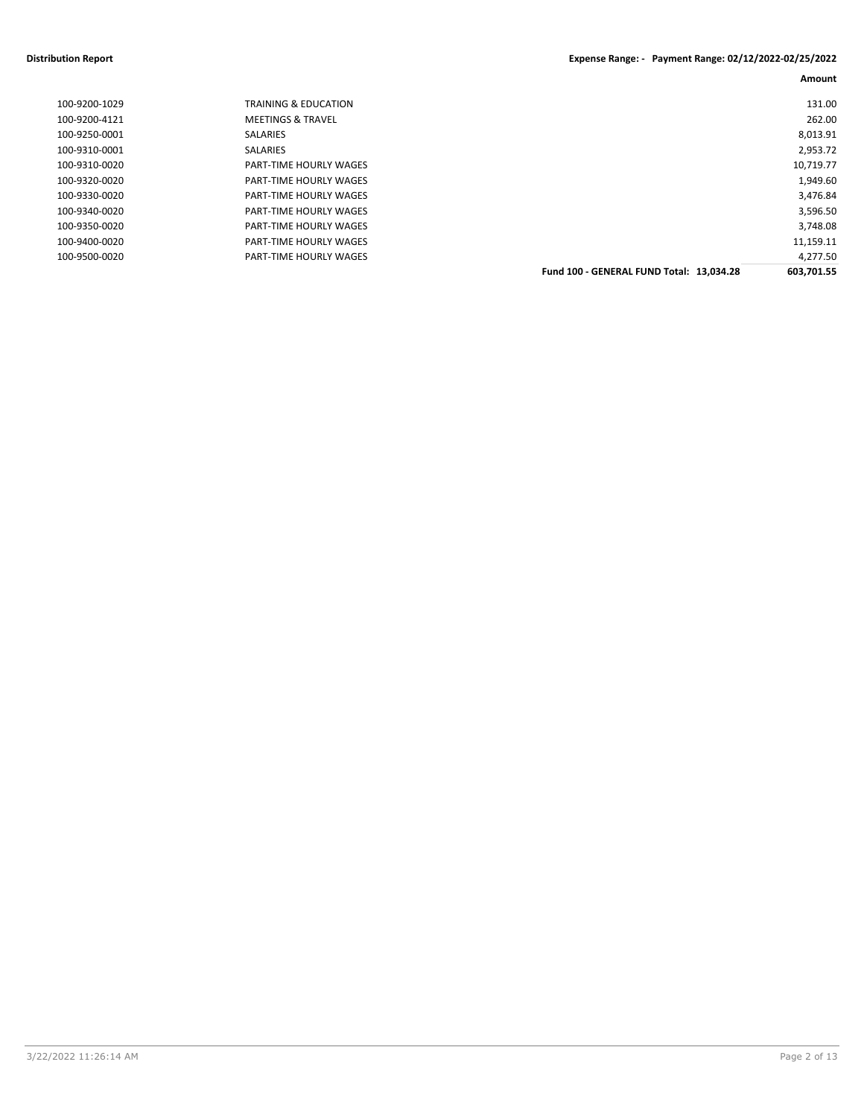#### **Distribution Report Expense Range: - Payment Range: 02/12/2022-02/25/2022**

| 131.00     |                                          | <b>TRAINING &amp; EDUCATION</b> | 100-9200-1029 |
|------------|------------------------------------------|---------------------------------|---------------|
| 262.00     |                                          | <b>MEETINGS &amp; TRAVEL</b>    | 100-9200-4121 |
| 8,013.91   |                                          | SALARIES                        | 100-9250-0001 |
| 2,953.72   |                                          | SALARIES                        | 100-9310-0001 |
| 10,719.77  |                                          | PART-TIME HOURLY WAGES          | 100-9310-0020 |
| 1,949.60   |                                          | PART-TIME HOURLY WAGES          | 100-9320-0020 |
| 3,476.84   |                                          | PART-TIME HOURLY WAGES          | 100-9330-0020 |
| 3,596.50   |                                          | PART-TIME HOURLY WAGES          | 100-9340-0020 |
| 3,748.08   |                                          | PART-TIME HOURLY WAGES          | 100-9350-0020 |
| 11,159.11  |                                          | PART-TIME HOURLY WAGES          | 100-9400-0020 |
| 4,277.50   |                                          | PART-TIME HOURLY WAGES          | 100-9500-0020 |
| 603,701.55 | Fund 100 - GENERAL FUND Total: 13.034.28 |                                 |               |
|            |                                          |                                 |               |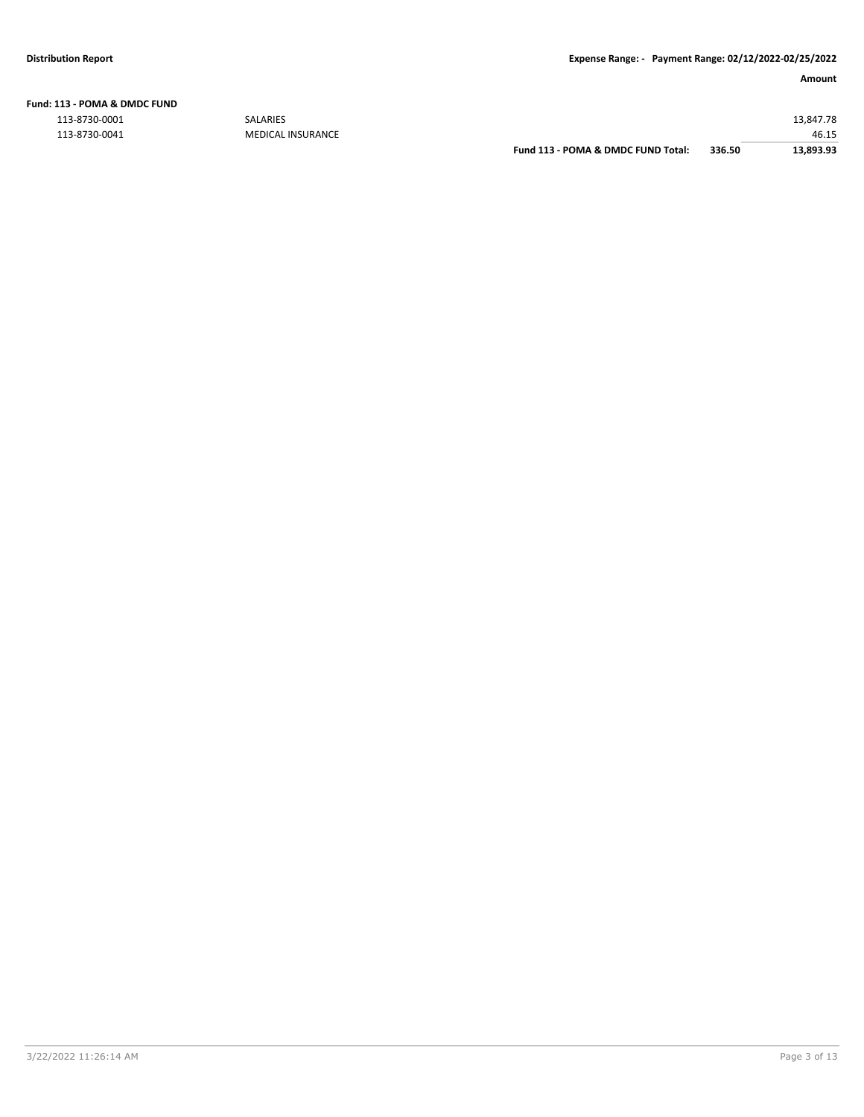#### **Fund: 113 - POMA & DMDC FUND**

| 113-8730-0001 | SALARIES                 |                                    |        | 13.847.78 |
|---------------|--------------------------|------------------------------------|--------|-----------|
| 113-8730-0041 | <b>MEDICAL INSURANCE</b> |                                    |        | 46.15     |
|               |                          | Fund 113 - POMA & DMDC FUND Total: | 336.50 | 13,893.93 |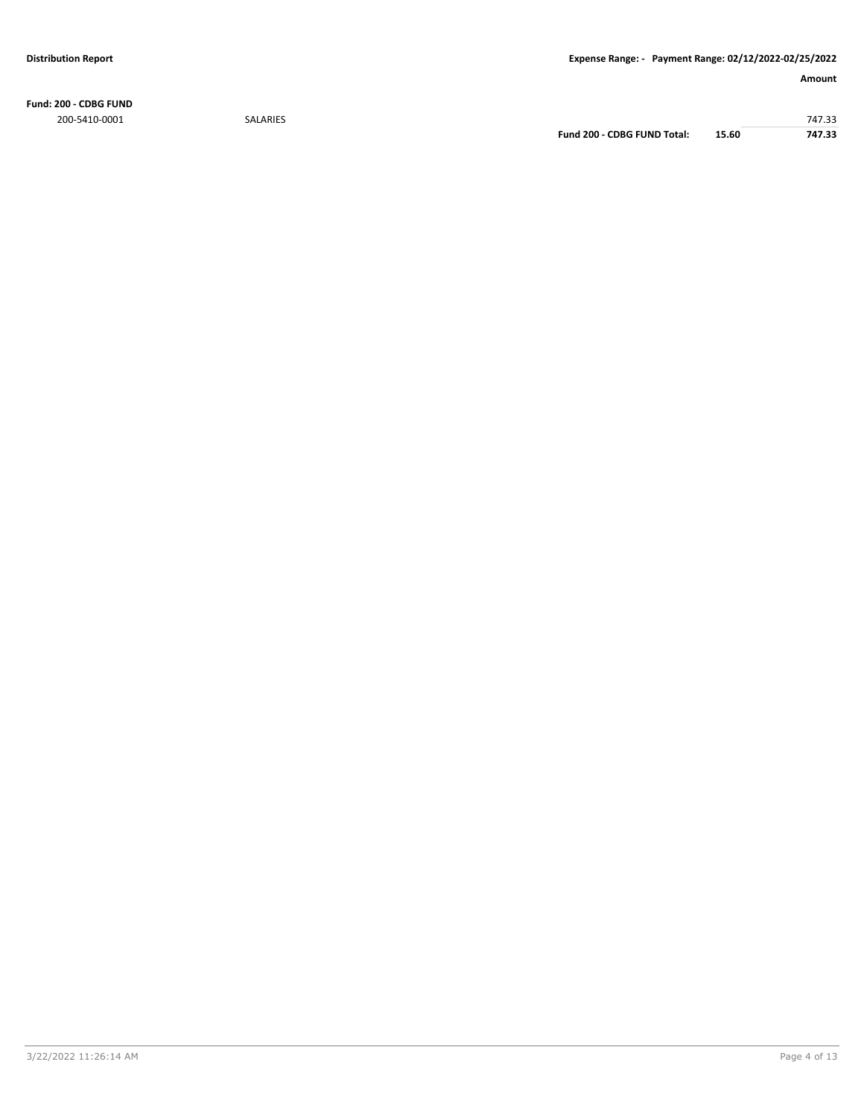**Fund: 200 - CDBG FUND** 200-5410-0001 SALARIES 747.33

**Fund 200 - CDBG FUND Total: 15.60 747.33**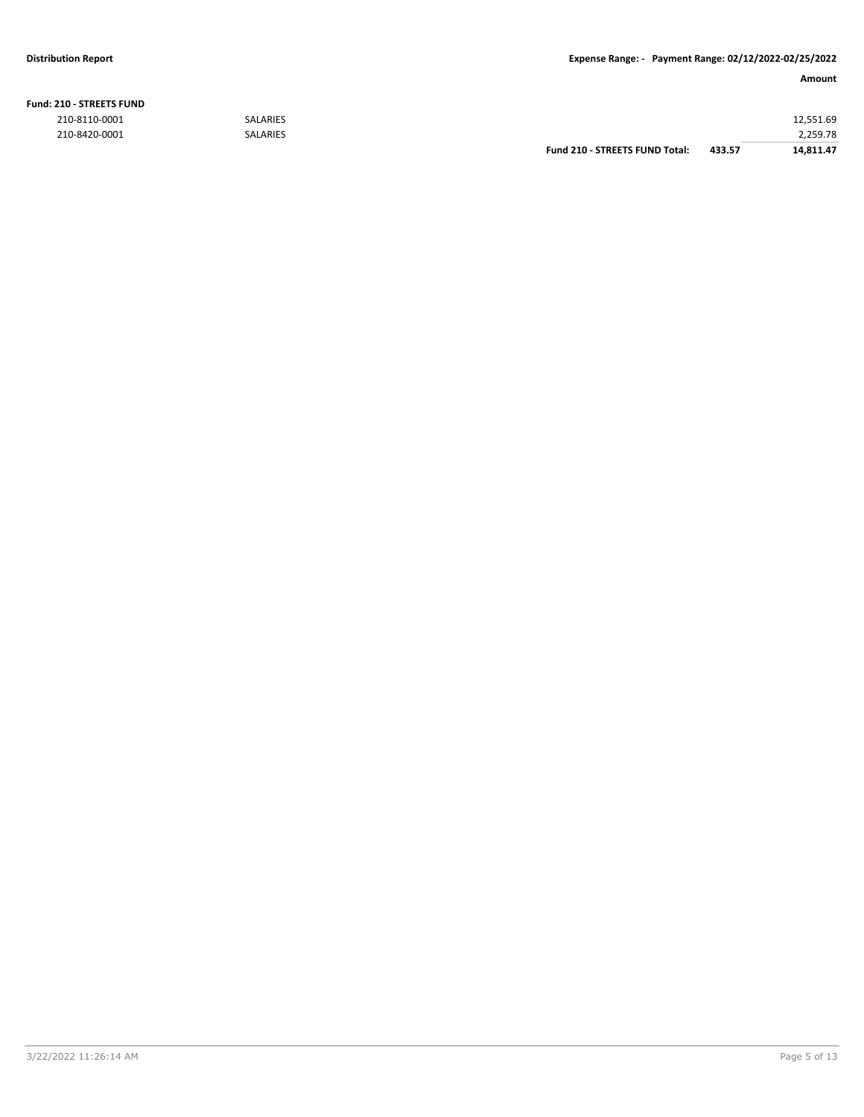**Fund: 210 - STREETS FUND**

#### **Distribution Report Expense Range: - Payment Range: 02/12/2022-02/25/2022**

| <b>210 - STREETS FUND</b> |                 |                                |        |           |
|---------------------------|-----------------|--------------------------------|--------|-----------|
| 210-8110-0001             | <b>SALARIES</b> |                                |        | 12.551.69 |
| 210-8420-0001             | <b>SALARIES</b> |                                |        | 2,259.78  |
|                           |                 | Fund 210 - STREETS FUND Total: | 433.57 | 14.811.47 |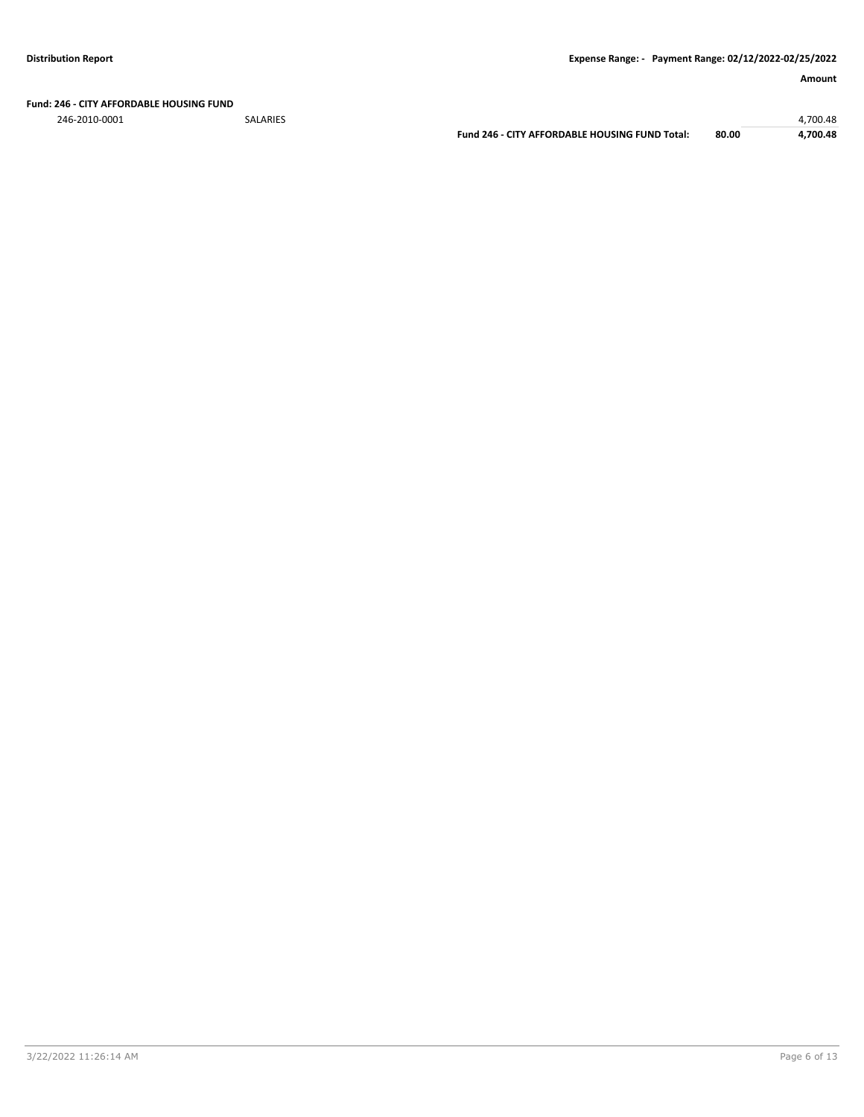#### **Fund: 246 - CITY AFFORDABLE HOUSING FUND**

246-2010-0001 SALARIES 4,700.48

**Fund 246 - CITY AFFORDABLE HOUSING FUND Total: 80.00 4,700.48**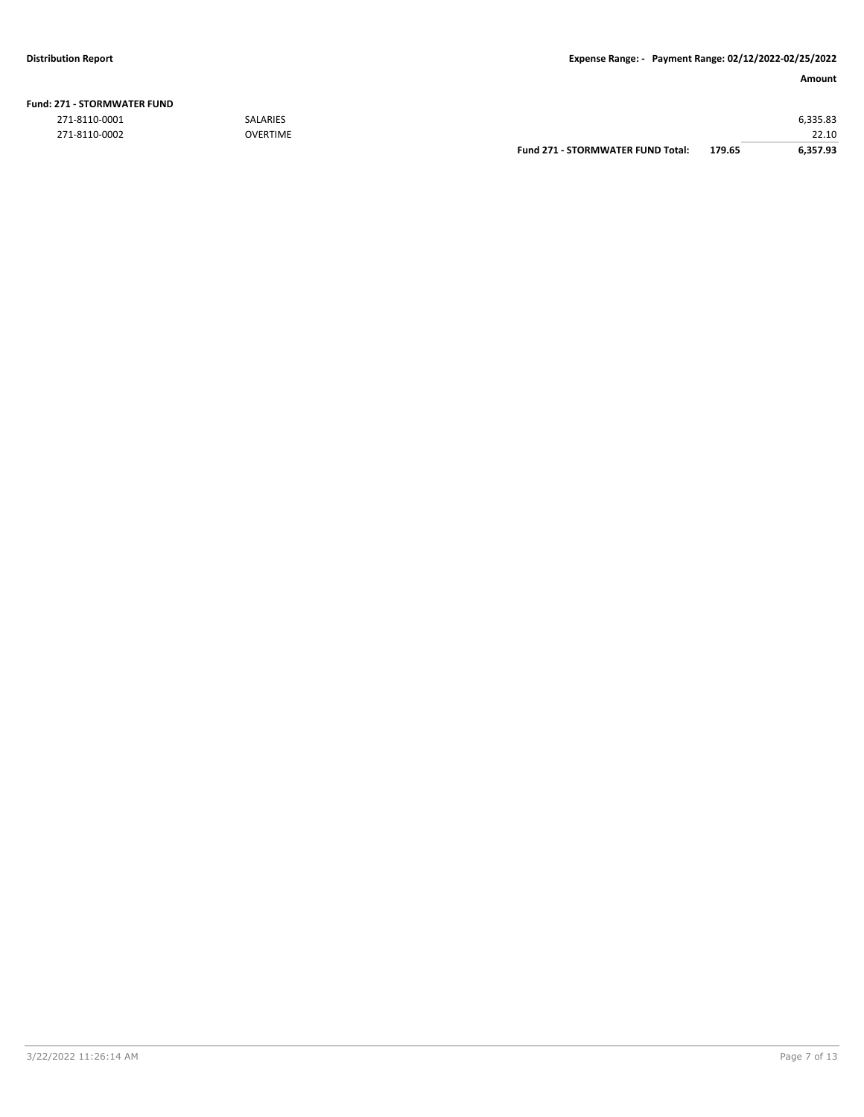| <b>271 - STORMWATER FUND</b> |                 |                                          |        |          |
|------------------------------|-----------------|------------------------------------------|--------|----------|
| 271-8110-0001                | <b>SALARIES</b> |                                          |        | 6,335.83 |
| 271-8110-0002                | OVERTIME        |                                          |        | 22.10    |
|                              |                 | <b>Fund 271 - STORMWATER FUND Total:</b> | 179.65 | 6.357.93 |

### **Fund: 271 - STORMWATER FUND**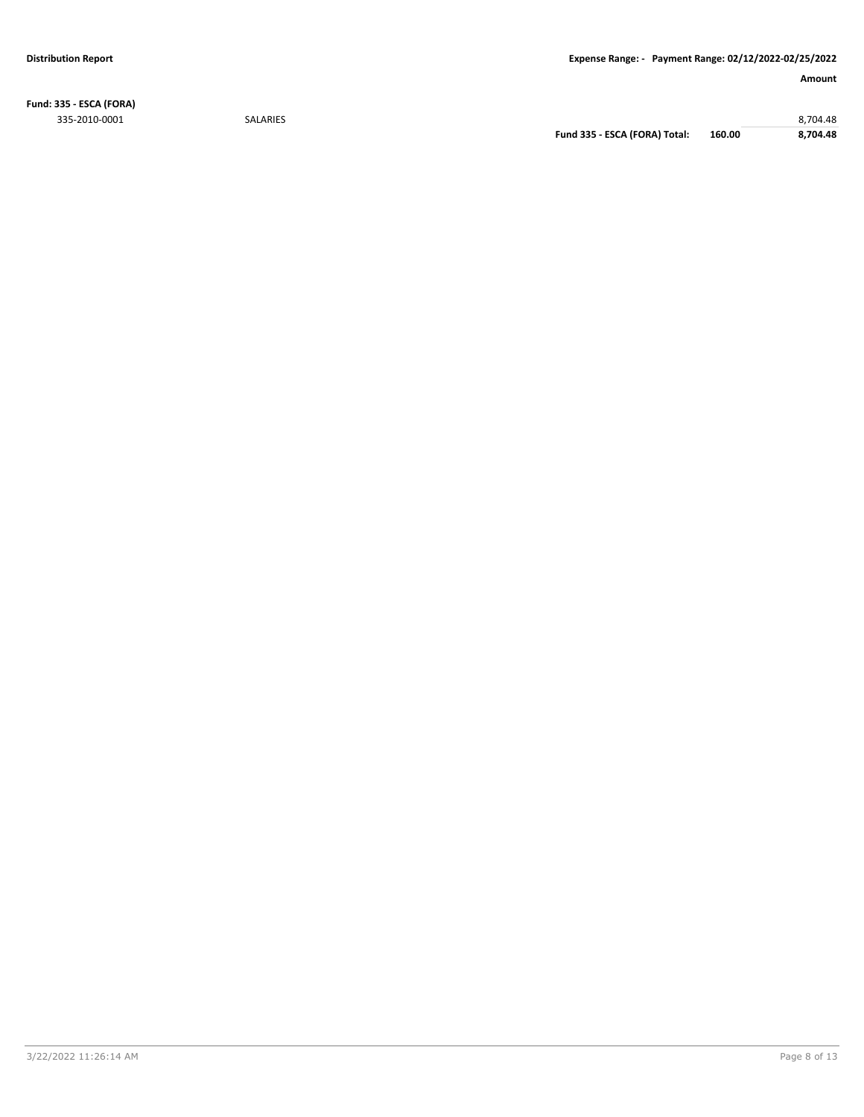**Fund: 335 - ESCA (FORA)** 335-2010-0001 SALARIES 8,704.48

**Fund 335 - ESCA (FORA) Total: 160.00 8,704.48**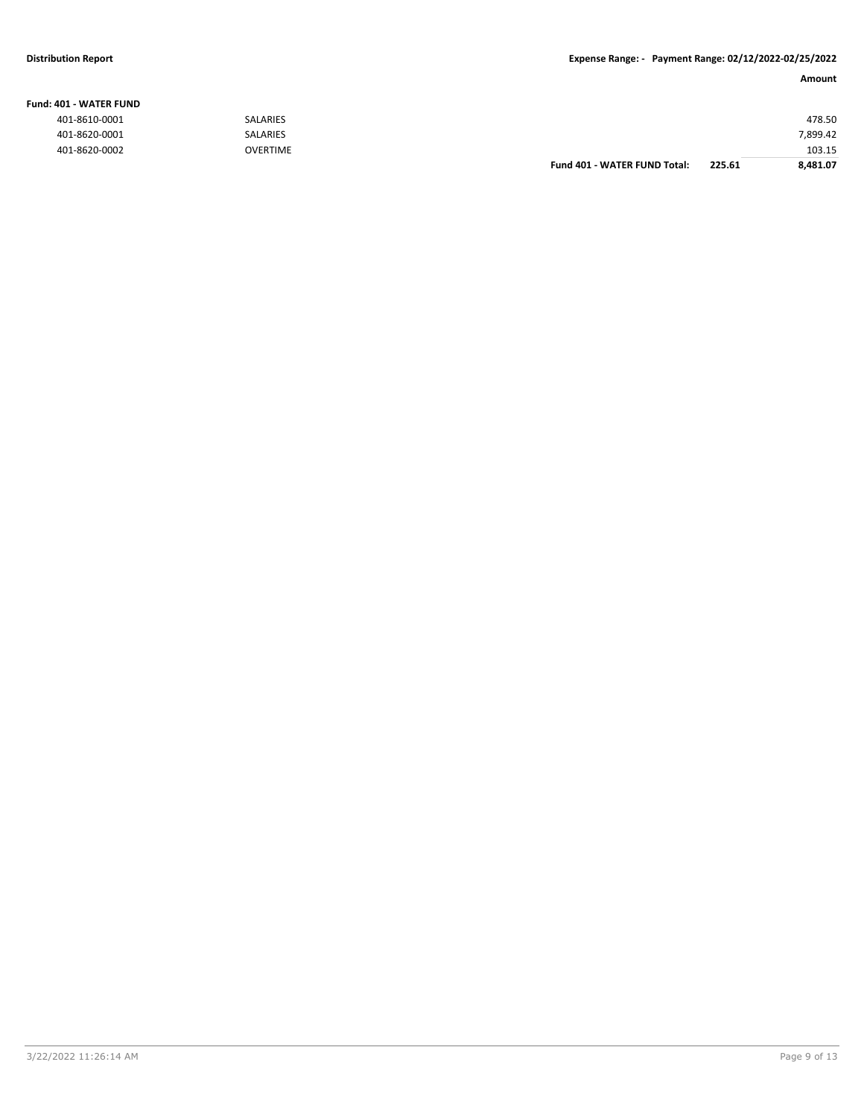#### **Fund: 401 - WATER FUND**

| 401-8610-0001 | <b>SALARIES</b> |                              |        | 478.50   |
|---------------|-----------------|------------------------------|--------|----------|
| 401-8620-0001 | SALARIES        |                              |        | 7,899.42 |
| 401-8620-0002 | <b>OVERTIME</b> |                              |        | 103.15   |
|               |                 | Fund 401 - WATER FUND Total: | 225.61 | 8,481.07 |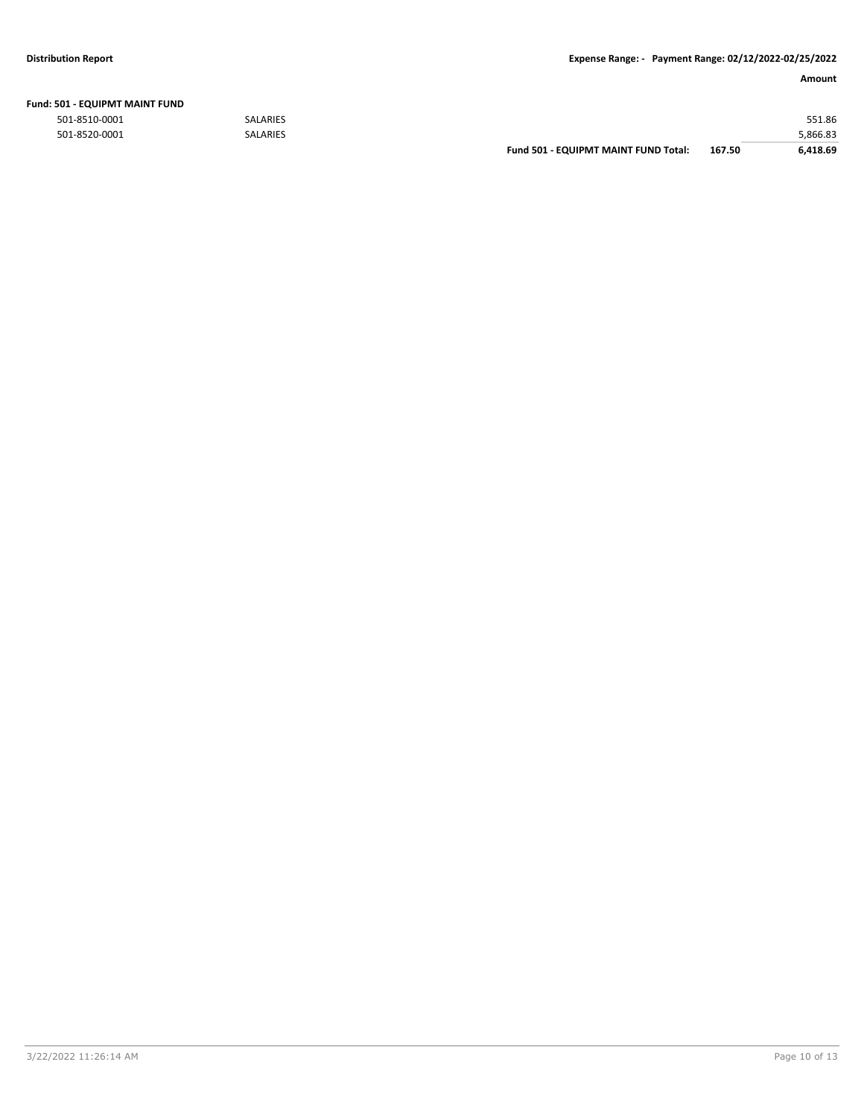| Fund: 501 - EQUIPMT MAINT FUND |  |
|--------------------------------|--|
|--------------------------------|--|

|               |                 | Fund 501 - EQUIPMT MAINT FUND Total: | 167.50 | 6.418.69 |
|---------------|-----------------|--------------------------------------|--------|----------|
| 501-8520-0001 | <b>SALARIES</b> |                                      |        | 5,866.83 |
| 501-8510-0001 | <b>SALARIES</b> |                                      |        | 551.86   |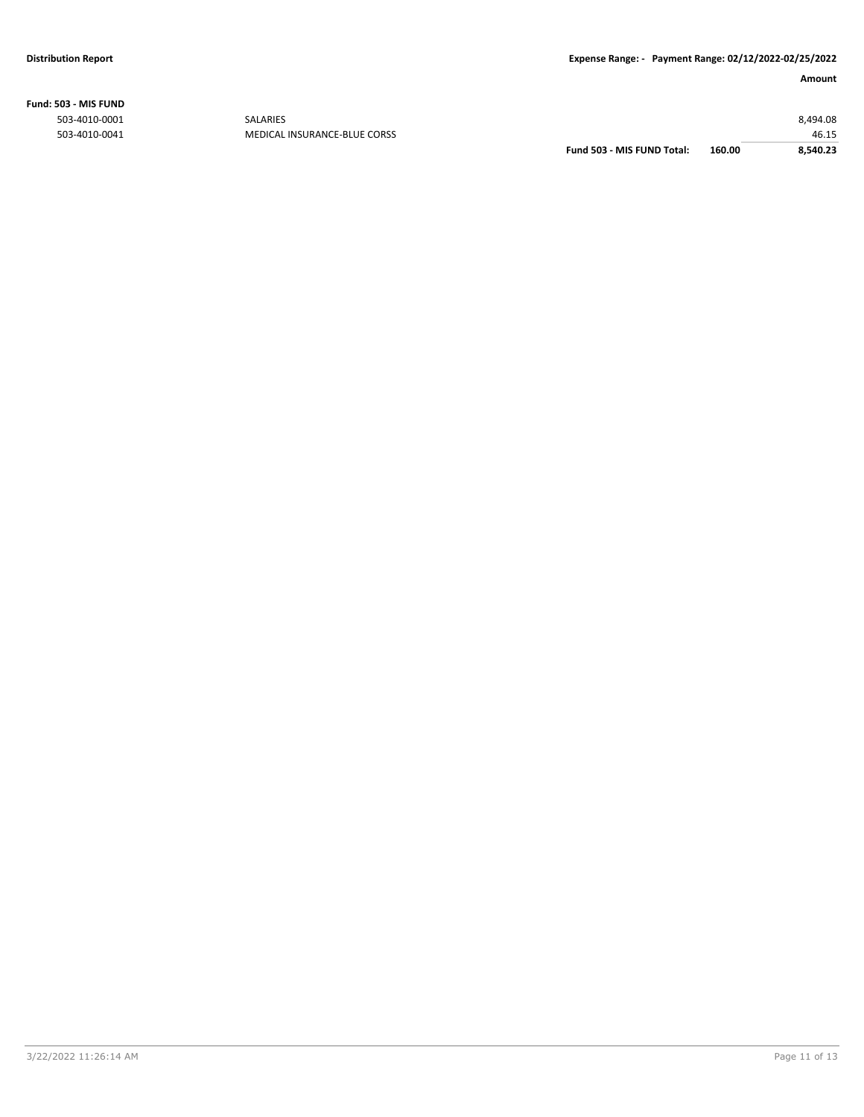**Fund: 503 - MIS FUND**

| Fund 503 - MIS FUND Total: | 160.00 | 8.540.23 |
|----------------------------|--------|----------|
|                            |        | 46.15    |
|                            |        | 8,494.08 |
|                            |        |          |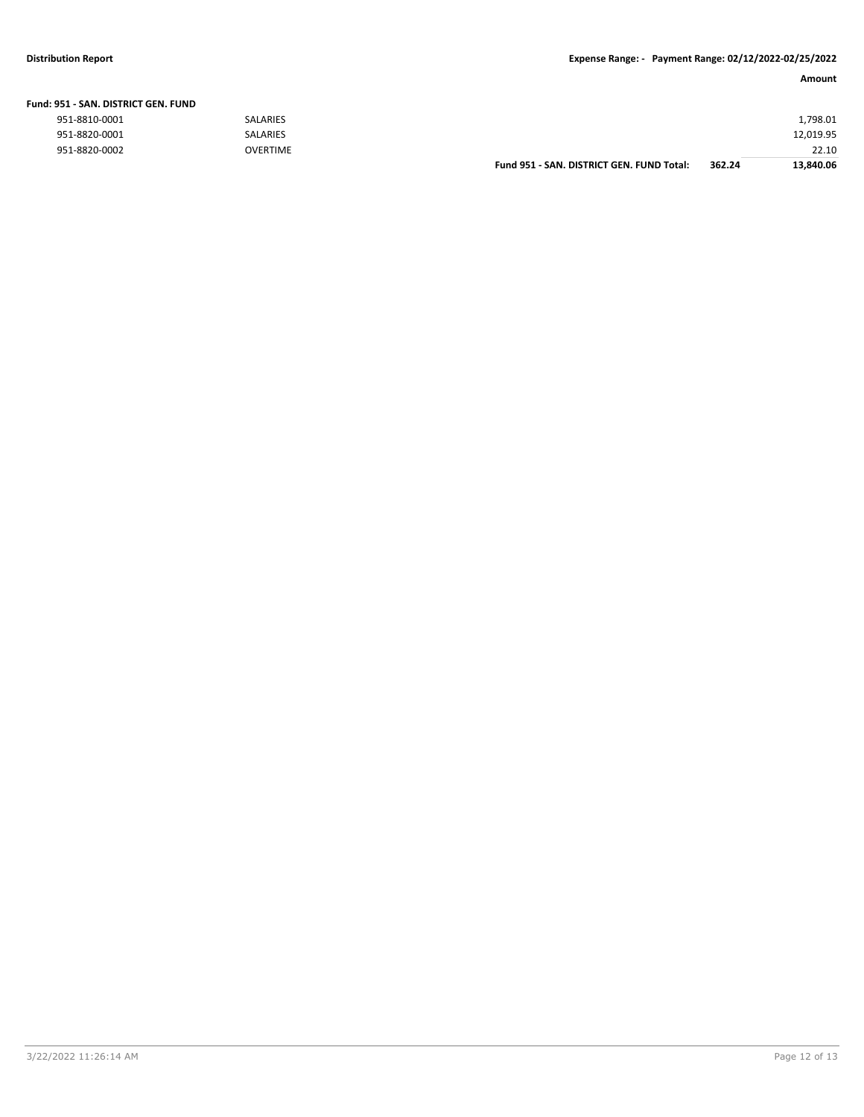#### **Distribution Report Expense Range: - Payment Range: 02/12/2022-02/25/2022**

| Amount |
|--------|
|--------|

| Fund: 951 - SAN. DISTRICT GEN. FUND |                 |                                           |        |           |
|-------------------------------------|-----------------|-------------------------------------------|--------|-----------|
| 951-8810-0001                       | <b>SALARIES</b> |                                           |        | 1,798.01  |
| 951-8820-0001                       | <b>SALARIES</b> |                                           |        | 12,019.95 |
| 951-8820-0002                       | <b>OVERTIME</b> |                                           |        | 22.10     |
|                                     |                 | Fund 951 - SAN, DISTRICT GEN, FUND Total: | 362.24 | 13.840.06 |